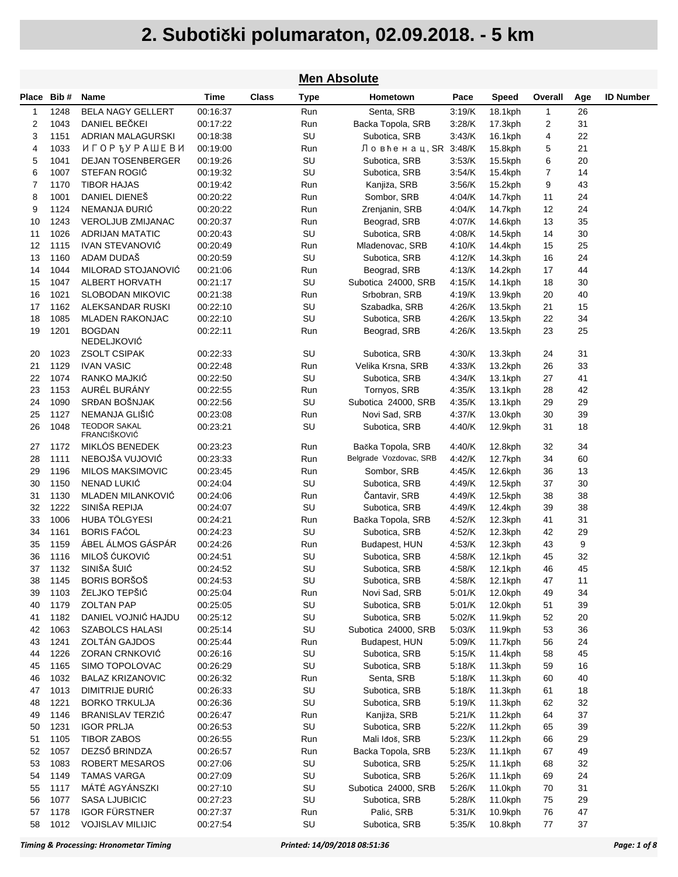| Place Bib#<br><b>Type</b><br>Name<br>Time<br>Class<br>Hometown<br>Pace<br><b>Speed</b><br>Overall<br>Age<br><b>ID Number</b><br>BELA NAGY GELLERT<br>1248<br>00:16:37<br>Senta, SRB<br>3:19/K<br>1<br>26<br>1<br>Run<br>18.1kph<br>$\overline{2}$<br>1043<br>DANIEL BEČKEI<br>3:28/K<br>2<br>31<br>00:17:22<br>Run<br>Backa Topola, SRB<br>17.3kph<br>SU<br>1151<br>3:43/K<br>4<br>22<br>3<br>ADRIAN MALAGURSKI<br>00:18:38<br>Subotica, SRB<br>16.1kph<br>ИГОР ЂУ РАШЕ В И<br>21<br>1033<br>00:19:00<br>Run<br>Ловћенац, SR 3:48/K<br>15.8kph<br>5<br>4<br>5<br>1041<br><b>DEJAN TOSENBERGER</b><br>SU<br>Subotica, SRB<br>6<br>20<br>00:19:26<br>3:53/K<br>15.5kph<br>SU<br>7<br>6<br>1007<br><b>STEFAN ROGIĆ</b><br>Subotica, SRB<br>3:54/K<br>14<br>00:19:32<br>15.4kph<br>7<br>Run<br>3:56/K<br>9<br>43<br>1170<br><b>TIBOR HAJAS</b><br>00:19:42<br>Kanjiža, SRB<br>15.2kph<br>8<br>1001<br>DANIEL DIENEŠ<br>00:20:22<br>4:04/K<br>24<br>Run<br>Sombor, SRB<br>14.7kph<br>11<br>1124<br>NEMANJA ĐURIĆ<br>00:20:22<br>4:04/K<br>12<br>24<br>9<br>Run<br>Zrenjanin, SRB<br>14.7kph<br>1243<br>4:07/K<br>35<br>10<br><b>VEROLJUB ZMIJANAC</b><br>00:20:37<br>Run<br>Beograd, SRB<br>14.6kph<br>13<br>SU<br>11<br>1026<br><b>ADRIJAN MATATIC</b><br>4:08/K<br>14<br>30<br>00:20:43<br>Subotica, SRB<br>14.5kph<br>25<br>12<br>1115<br><b>IVAN STEVANOVIĆ</b><br>4:10/K<br>15<br>00:20:49<br>Run<br>Mladenovac, SRB<br>14.4kph<br>SU<br>13<br>1160<br>ADAM DUDAŠ<br>4:12/K<br>16<br>24<br>00:20:59<br>Subotica, SRB<br>14.3kph<br>14<br>1044<br>44<br>MILORAD STOJANOVIC<br>00:21:06<br>Run<br>Beograd, SRB<br>4:13/K<br>14.2kph<br>17<br>SU<br>15<br>1047<br>Subotica 24000, SRB<br>4:15/K<br>ALBERT HORVATH<br>00:21:17<br>14.1kph<br>18<br>30<br>16<br>1021<br><b>SLOBODAN MIKOVIC</b><br>00:21:38<br>Run<br>Srbobran, SRB<br>4:19/K<br>13.9kph<br>20<br>40<br>SU<br>17<br>1162<br>ALEKSANDAR RUSKI<br>4:26/K<br>21<br>15<br>00:22:10<br>Szabadka, SRB<br>13.5kph<br>18<br>SU<br>22<br>34<br>1085<br><b>MLADEN RAKONJAC</b><br>00:22:10<br>4:26/K<br>Subotica, SRB<br>13.5kph<br><b>BOGDAN</b><br>23<br>25<br>19<br>1201<br>00:22:11<br>Run<br>Beograd, SRB<br>4:26/K<br>13.5kph<br>NEDELJKOVIC<br>SU<br>1023<br><b>ZSOLT CSIPAK</b><br>00:22:33<br>Subotica, SRB<br>4:30/K<br>31<br>20<br>13.3kph<br>24<br>1129<br><b>IVAN VASIC</b><br>Velika Krsna, SRB<br>4:33/K<br>33<br>21<br>00:22:48<br>Run<br>$13.2$ kph<br>26<br>SU<br>22<br>1074<br>RANKO MAJKIĆ<br>00:22:50<br>Subotica, SRB<br>4:34/K<br>27<br>41<br>13.1kph<br>AURÉL BURÁNY<br>23<br>1153<br>00:22:55<br>Run<br>Tornyos, SRB<br>4:35/K<br>13.1kph<br>28<br>42<br>SRĐAN BOŠNJAK<br>24<br>1090<br>00:22:56<br>SU<br>Subotica 24000, SRB<br>4:35/K<br>29<br>13.1kph<br>29<br>25<br>1127<br>NEMANJA GLIŠIĆ<br>00:23:08<br>Novi Sad, SRB<br>4:37/K<br>39<br>Run<br>13.0kph<br>30<br><b>TEODOR SAKAL</b><br>SU<br>26<br>1048<br>00:23:21<br>4:40/K<br>31<br>18<br>Subotica, SRB<br>12.9kph<br>FRANCIŠKOVIĆ<br>MIKLÓS BENEDEK<br>Bačka Topola, SRB<br>34<br>27<br>1172<br>00:23:23<br>Run<br>4:40/K<br>12.8kph<br>32<br>NEBOJŠA VUJOVIĆ<br>28<br>1111<br>Belgrade Vozdovac, SRB<br>60<br>00:23:33<br>Run<br>4:42/K<br>12.7kph<br>34<br>29<br>1196<br><b>MILOS MAKSIMOVIC</b><br>00:23:45<br>4:45/K<br>36<br>13<br>Run<br>Sombor, SRB<br>12.6kph<br>SU<br>30<br>1150<br>NENAD LUKIĆ<br>30<br>00:24:04<br>Subotica, SRB<br>4:49/K<br>12.5kph<br>37<br>1130<br>31<br><b>MLADEN MILANKOVIC</b><br>00:24:06<br>Run<br>Čantavir, SRB<br>4:49/K<br>12.5kph<br>38<br>38<br>SINIŠA REPIJA<br>32<br>1222<br>SU<br>4:49/K<br>38<br>00:24:07<br>Subotica, SRB<br>39<br>12.4kph<br>HUBA TÖLGYESI<br>33<br>1006<br>4:52/K<br>41<br>31<br>00:24:21<br>Run<br>Bačka Topola, SRB<br>12.3kph<br><b>BORIS FAĆOL</b><br>SU<br>34<br>1161<br>4:52/K<br>29<br>00:24:23<br>Subotica, SRB<br>12.3kph<br>42<br>ÁBEL ÁLMOS GÁSPÁR<br>9<br>35<br>1159<br>00:24:26<br>4:53/K<br>43<br>Run<br>Budapest, HUN<br>12.3kph<br>MILOŠ ĆUKOVIĆ<br>36<br>SU<br>32<br>1116<br>00:24:51<br>4:58/K<br>45<br>Subotica, SRB<br>12.1kph<br>SINIŠA ŠUIĆ<br>SU<br>37<br>1132<br>46<br>45<br>00:24:52<br>Subotica, SRB<br>4:58/K<br>12.1kph<br><b>BORIS BORŠOŠ</b><br>SU<br>1145<br>00:24:53<br>Subotica, SRB<br>4:58/K<br>12.1kph<br>47<br>11<br>38<br>1103<br>ŽELJKO TEPŠIĆ<br>Run<br>Novi Sad, SRB<br>5:01/K<br>12.0kph<br>34<br>39<br>00:25:04<br>49<br>SU<br><b>ZOLTAN PAP</b><br>Subotica, SRB<br>5:01/K<br>39<br>40<br>1179<br>00:25:05<br>12.0kph<br>51<br>SU<br>20<br>1182<br>DANIEL VOJNIĆ HAJDU<br>Subotica, SRB<br>5:02/K<br>52<br>41<br>00:25:12<br>11.9kph<br>SU<br>1063<br><b>SZABOLCS HALASI</b><br>5:03/K<br>53<br>36<br>42<br>00:25:14<br>Subotica 24000, SRB<br>11.9kph<br>1241<br>ZOLTAN GAJDOS<br>5:09/K<br>24<br>43<br>00:25:44<br>Run<br>Budapest, HUN<br>11.7kph<br>56<br>SU<br>1226<br>ZORAN CRNKOVIĆ<br>Subotica, SRB<br>5:15/K<br>45<br>44<br>00:26:16<br>11.4kph<br>58<br>SU<br>1165<br>SIMO TOPOLOVAC<br>5:18/K<br>16<br>45<br>00:26:29<br>Subotica, SRB<br>11.3kph<br>59<br>5:18/K<br>40<br>46<br>1032<br><b>BALAZ KRIZANOVIC</b><br>00:26:32<br>Run<br>Senta, SRB<br>11.3kph<br>60<br>SU<br>1013<br>DIMITRIJE ĐURIĆ<br>Subotica, SRB<br>5:18/K<br>18<br>47<br>00:26:33<br>11.3kph<br>61<br>SU<br>32<br>1221<br>5:19/K<br>48<br><b>BORKO TRKULJA</b><br>00:26:36<br>Subotica, SRB<br>11.3kph<br>62<br>5:21/K<br>37<br>49<br>1146<br><b>BRANISLAV TERZIĆ</b><br>00:26:47<br>Run<br>Kanjiža, SRB<br>11.2kph<br>64<br>SU<br>1231<br><b>IGOR PRLJA</b><br>5:22/K<br>39<br>50<br>00:26:53<br>Subotica, SRB<br>$11.2$ kph<br>65<br>1105<br><b>TIBOR ZABOS</b><br>Mali Idoš, SRB<br>5:23/K<br>66<br>29<br>51<br>00:26:55<br>Run<br>11.2kph<br>DEZSŐ BRINDZA<br>Backa Topola, SRB<br>5:23/K<br>49<br>52<br>1057<br>00:26:57<br>Run<br>11.1kph<br>67<br>SU<br>32<br>53<br>1083<br><b>ROBERT MESAROS</b><br>Subotica, SRB<br>5:25/K<br>11.1kph<br>68<br>00:27:06<br>SU<br>1149<br><b>TAMAS VARGA</b><br>5:26/K<br>24<br>54<br>00:27:09<br>Subotica, SRB<br>11.1kph<br>69<br>MATÉ AGYANSZKI<br>SU<br>5:26/K<br>55<br>1117<br>00:27:10<br>Subotica 24000, SRB<br>11.0kph<br>70<br>31<br>SU<br>1077<br><b>SASA LJUBICIC</b><br>Subotica, SRB<br>5:28/K<br>75<br>29<br>56<br>00:27:23<br>11.0kph<br><b>IGOR FÜRSTNER</b><br>1178<br>Palić, SRB<br>5:31/K<br>76<br>47<br>57<br>00:27:37<br>Run<br>10.9kph<br><b>VOJISLAV MILIJIC</b><br>SU<br>5:35/K<br>77<br>58<br>1012<br>00:27:54<br>Subotica, SRB<br>10.8kph<br>37 |  |  |  | <b>Men Absolute</b> |  |  |  |
|----------------------------------------------------------------------------------------------------------------------------------------------------------------------------------------------------------------------------------------------------------------------------------------------------------------------------------------------------------------------------------------------------------------------------------------------------------------------------------------------------------------------------------------------------------------------------------------------------------------------------------------------------------------------------------------------------------------------------------------------------------------------------------------------------------------------------------------------------------------------------------------------------------------------------------------------------------------------------------------------------------------------------------------------------------------------------------------------------------------------------------------------------------------------------------------------------------------------------------------------------------------------------------------------------------------------------------------------------------------------------------------------------------------------------------------------------------------------------------------------------------------------------------------------------------------------------------------------------------------------------------------------------------------------------------------------------------------------------------------------------------------------------------------------------------------------------------------------------------------------------------------------------------------------------------------------------------------------------------------------------------------------------------------------------------------------------------------------------------------------------------------------------------------------------------------------------------------------------------------------------------------------------------------------------------------------------------------------------------------------------------------------------------------------------------------------------------------------------------------------------------------------------------------------------------------------------------------------------------------------------------------------------------------------------------------------------------------------------------------------------------------------------------------------------------------------------------------------------------------------------------------------------------------------------------------------------------------------------------------------------------------------------------------------------------------------------------------------------------------------------------------------------------------------------------------------------------------------------------------------------------------------------------------------------------------------------------------------------------------------------------------------------------------------------------------------------------------------------------------------------------------------------------------------------------------------------------------------------------------------------------------------------------------------------------------------------------------------------------------------------------------------------------------------------------------------------------------------------------------------------------------------------------------------------------------------------------------------------------------------------------------------------------------------------------------------------------------------------------------------------------------------------------------------------------------------------------------------------------------------------------------------------------------------------------------------------------------------------------------------------------------------------------------------------------------------------------------------------------------------------------------------------------------------------------------------------------------------------------------------------------------------------------------------------------------------------------------------------------------------------------------------------------------------------------------------------------------------------------------------------------------------------------------------------------------------------------------------------------------------------------------------------------------------------------------------------------------------------------------------------------------------------------------------------------------------------------------------------------------------------------------------------------------------------------------------------------------------------------------------------------------------------------------------------------------------------------------------------------------------------------------------------------------------------------------------------------------------------------------------------------------------------------------------------------------------------------------------------------------------------------------------------------------------------------------------------------------------------------------------------------------------------------------------------------------------------------------------------------------------------------------------------------------------------------------------------------------------------------------------------------------------------------------------------------------------------------------------------------------------------------------------------------------------------------------------------------------------------------------------------------------------------------------------------------------------------|--|--|--|---------------------|--|--|--|
|                                                                                                                                                                                                                                                                                                                                                                                                                                                                                                                                                                                                                                                                                                                                                                                                                                                                                                                                                                                                                                                                                                                                                                                                                                                                                                                                                                                                                                                                                                                                                                                                                                                                                                                                                                                                                                                                                                                                                                                                                                                                                                                                                                                                                                                                                                                                                                                                                                                                                                                                                                                                                                                                                                                                                                                                                                                                                                                                                                                                                                                                                                                                                                                                                                                                                                                                                                                                                                                                                                                                                                                                                                                                                                                                                                                                                                                                                                                                                                                                                                                                                                                                                                                                                                                                                                                                                                                                                                                                                                                                                                                                                                                                                                                                                                                                                                                                                                                                                                                                                                                                                                                                                                                                                                                                                                                                                                                                                                                                                                                                                                                                                                                                                                                                                                                                                                                                                                                                                                                                                                                                                                                                                                                                                                                                                                                                                                                                                                                    |  |  |  |                     |  |  |  |
|                                                                                                                                                                                                                                                                                                                                                                                                                                                                                                                                                                                                                                                                                                                                                                                                                                                                                                                                                                                                                                                                                                                                                                                                                                                                                                                                                                                                                                                                                                                                                                                                                                                                                                                                                                                                                                                                                                                                                                                                                                                                                                                                                                                                                                                                                                                                                                                                                                                                                                                                                                                                                                                                                                                                                                                                                                                                                                                                                                                                                                                                                                                                                                                                                                                                                                                                                                                                                                                                                                                                                                                                                                                                                                                                                                                                                                                                                                                                                                                                                                                                                                                                                                                                                                                                                                                                                                                                                                                                                                                                                                                                                                                                                                                                                                                                                                                                                                                                                                                                                                                                                                                                                                                                                                                                                                                                                                                                                                                                                                                                                                                                                                                                                                                                                                                                                                                                                                                                                                                                                                                                                                                                                                                                                                                                                                                                                                                                                                                    |  |  |  |                     |  |  |  |
|                                                                                                                                                                                                                                                                                                                                                                                                                                                                                                                                                                                                                                                                                                                                                                                                                                                                                                                                                                                                                                                                                                                                                                                                                                                                                                                                                                                                                                                                                                                                                                                                                                                                                                                                                                                                                                                                                                                                                                                                                                                                                                                                                                                                                                                                                                                                                                                                                                                                                                                                                                                                                                                                                                                                                                                                                                                                                                                                                                                                                                                                                                                                                                                                                                                                                                                                                                                                                                                                                                                                                                                                                                                                                                                                                                                                                                                                                                                                                                                                                                                                                                                                                                                                                                                                                                                                                                                                                                                                                                                                                                                                                                                                                                                                                                                                                                                                                                                                                                                                                                                                                                                                                                                                                                                                                                                                                                                                                                                                                                                                                                                                                                                                                                                                                                                                                                                                                                                                                                                                                                                                                                                                                                                                                                                                                                                                                                                                                                                    |  |  |  |                     |  |  |  |
|                                                                                                                                                                                                                                                                                                                                                                                                                                                                                                                                                                                                                                                                                                                                                                                                                                                                                                                                                                                                                                                                                                                                                                                                                                                                                                                                                                                                                                                                                                                                                                                                                                                                                                                                                                                                                                                                                                                                                                                                                                                                                                                                                                                                                                                                                                                                                                                                                                                                                                                                                                                                                                                                                                                                                                                                                                                                                                                                                                                                                                                                                                                                                                                                                                                                                                                                                                                                                                                                                                                                                                                                                                                                                                                                                                                                                                                                                                                                                                                                                                                                                                                                                                                                                                                                                                                                                                                                                                                                                                                                                                                                                                                                                                                                                                                                                                                                                                                                                                                                                                                                                                                                                                                                                                                                                                                                                                                                                                                                                                                                                                                                                                                                                                                                                                                                                                                                                                                                                                                                                                                                                                                                                                                                                                                                                                                                                                                                                                                    |  |  |  |                     |  |  |  |
|                                                                                                                                                                                                                                                                                                                                                                                                                                                                                                                                                                                                                                                                                                                                                                                                                                                                                                                                                                                                                                                                                                                                                                                                                                                                                                                                                                                                                                                                                                                                                                                                                                                                                                                                                                                                                                                                                                                                                                                                                                                                                                                                                                                                                                                                                                                                                                                                                                                                                                                                                                                                                                                                                                                                                                                                                                                                                                                                                                                                                                                                                                                                                                                                                                                                                                                                                                                                                                                                                                                                                                                                                                                                                                                                                                                                                                                                                                                                                                                                                                                                                                                                                                                                                                                                                                                                                                                                                                                                                                                                                                                                                                                                                                                                                                                                                                                                                                                                                                                                                                                                                                                                                                                                                                                                                                                                                                                                                                                                                                                                                                                                                                                                                                                                                                                                                                                                                                                                                                                                                                                                                                                                                                                                                                                                                                                                                                                                                                                    |  |  |  |                     |  |  |  |
|                                                                                                                                                                                                                                                                                                                                                                                                                                                                                                                                                                                                                                                                                                                                                                                                                                                                                                                                                                                                                                                                                                                                                                                                                                                                                                                                                                                                                                                                                                                                                                                                                                                                                                                                                                                                                                                                                                                                                                                                                                                                                                                                                                                                                                                                                                                                                                                                                                                                                                                                                                                                                                                                                                                                                                                                                                                                                                                                                                                                                                                                                                                                                                                                                                                                                                                                                                                                                                                                                                                                                                                                                                                                                                                                                                                                                                                                                                                                                                                                                                                                                                                                                                                                                                                                                                                                                                                                                                                                                                                                                                                                                                                                                                                                                                                                                                                                                                                                                                                                                                                                                                                                                                                                                                                                                                                                                                                                                                                                                                                                                                                                                                                                                                                                                                                                                                                                                                                                                                                                                                                                                                                                                                                                                                                                                                                                                                                                                                                    |  |  |  |                     |  |  |  |
|                                                                                                                                                                                                                                                                                                                                                                                                                                                                                                                                                                                                                                                                                                                                                                                                                                                                                                                                                                                                                                                                                                                                                                                                                                                                                                                                                                                                                                                                                                                                                                                                                                                                                                                                                                                                                                                                                                                                                                                                                                                                                                                                                                                                                                                                                                                                                                                                                                                                                                                                                                                                                                                                                                                                                                                                                                                                                                                                                                                                                                                                                                                                                                                                                                                                                                                                                                                                                                                                                                                                                                                                                                                                                                                                                                                                                                                                                                                                                                                                                                                                                                                                                                                                                                                                                                                                                                                                                                                                                                                                                                                                                                                                                                                                                                                                                                                                                                                                                                                                                                                                                                                                                                                                                                                                                                                                                                                                                                                                                                                                                                                                                                                                                                                                                                                                                                                                                                                                                                                                                                                                                                                                                                                                                                                                                                                                                                                                                                                    |  |  |  |                     |  |  |  |
|                                                                                                                                                                                                                                                                                                                                                                                                                                                                                                                                                                                                                                                                                                                                                                                                                                                                                                                                                                                                                                                                                                                                                                                                                                                                                                                                                                                                                                                                                                                                                                                                                                                                                                                                                                                                                                                                                                                                                                                                                                                                                                                                                                                                                                                                                                                                                                                                                                                                                                                                                                                                                                                                                                                                                                                                                                                                                                                                                                                                                                                                                                                                                                                                                                                                                                                                                                                                                                                                                                                                                                                                                                                                                                                                                                                                                                                                                                                                                                                                                                                                                                                                                                                                                                                                                                                                                                                                                                                                                                                                                                                                                                                                                                                                                                                                                                                                                                                                                                                                                                                                                                                                                                                                                                                                                                                                                                                                                                                                                                                                                                                                                                                                                                                                                                                                                                                                                                                                                                                                                                                                                                                                                                                                                                                                                                                                                                                                                                                    |  |  |  |                     |  |  |  |
|                                                                                                                                                                                                                                                                                                                                                                                                                                                                                                                                                                                                                                                                                                                                                                                                                                                                                                                                                                                                                                                                                                                                                                                                                                                                                                                                                                                                                                                                                                                                                                                                                                                                                                                                                                                                                                                                                                                                                                                                                                                                                                                                                                                                                                                                                                                                                                                                                                                                                                                                                                                                                                                                                                                                                                                                                                                                                                                                                                                                                                                                                                                                                                                                                                                                                                                                                                                                                                                                                                                                                                                                                                                                                                                                                                                                                                                                                                                                                                                                                                                                                                                                                                                                                                                                                                                                                                                                                                                                                                                                                                                                                                                                                                                                                                                                                                                                                                                                                                                                                                                                                                                                                                                                                                                                                                                                                                                                                                                                                                                                                                                                                                                                                                                                                                                                                                                                                                                                                                                                                                                                                                                                                                                                                                                                                                                                                                                                                                                    |  |  |  |                     |  |  |  |
|                                                                                                                                                                                                                                                                                                                                                                                                                                                                                                                                                                                                                                                                                                                                                                                                                                                                                                                                                                                                                                                                                                                                                                                                                                                                                                                                                                                                                                                                                                                                                                                                                                                                                                                                                                                                                                                                                                                                                                                                                                                                                                                                                                                                                                                                                                                                                                                                                                                                                                                                                                                                                                                                                                                                                                                                                                                                                                                                                                                                                                                                                                                                                                                                                                                                                                                                                                                                                                                                                                                                                                                                                                                                                                                                                                                                                                                                                                                                                                                                                                                                                                                                                                                                                                                                                                                                                                                                                                                                                                                                                                                                                                                                                                                                                                                                                                                                                                                                                                                                                                                                                                                                                                                                                                                                                                                                                                                                                                                                                                                                                                                                                                                                                                                                                                                                                                                                                                                                                                                                                                                                                                                                                                                                                                                                                                                                                                                                                                                    |  |  |  |                     |  |  |  |
|                                                                                                                                                                                                                                                                                                                                                                                                                                                                                                                                                                                                                                                                                                                                                                                                                                                                                                                                                                                                                                                                                                                                                                                                                                                                                                                                                                                                                                                                                                                                                                                                                                                                                                                                                                                                                                                                                                                                                                                                                                                                                                                                                                                                                                                                                                                                                                                                                                                                                                                                                                                                                                                                                                                                                                                                                                                                                                                                                                                                                                                                                                                                                                                                                                                                                                                                                                                                                                                                                                                                                                                                                                                                                                                                                                                                                                                                                                                                                                                                                                                                                                                                                                                                                                                                                                                                                                                                                                                                                                                                                                                                                                                                                                                                                                                                                                                                                                                                                                                                                                                                                                                                                                                                                                                                                                                                                                                                                                                                                                                                                                                                                                                                                                                                                                                                                                                                                                                                                                                                                                                                                                                                                                                                                                                                                                                                                                                                                                                    |  |  |  |                     |  |  |  |
|                                                                                                                                                                                                                                                                                                                                                                                                                                                                                                                                                                                                                                                                                                                                                                                                                                                                                                                                                                                                                                                                                                                                                                                                                                                                                                                                                                                                                                                                                                                                                                                                                                                                                                                                                                                                                                                                                                                                                                                                                                                                                                                                                                                                                                                                                                                                                                                                                                                                                                                                                                                                                                                                                                                                                                                                                                                                                                                                                                                                                                                                                                                                                                                                                                                                                                                                                                                                                                                                                                                                                                                                                                                                                                                                                                                                                                                                                                                                                                                                                                                                                                                                                                                                                                                                                                                                                                                                                                                                                                                                                                                                                                                                                                                                                                                                                                                                                                                                                                                                                                                                                                                                                                                                                                                                                                                                                                                                                                                                                                                                                                                                                                                                                                                                                                                                                                                                                                                                                                                                                                                                                                                                                                                                                                                                                                                                                                                                                                                    |  |  |  |                     |  |  |  |
|                                                                                                                                                                                                                                                                                                                                                                                                                                                                                                                                                                                                                                                                                                                                                                                                                                                                                                                                                                                                                                                                                                                                                                                                                                                                                                                                                                                                                                                                                                                                                                                                                                                                                                                                                                                                                                                                                                                                                                                                                                                                                                                                                                                                                                                                                                                                                                                                                                                                                                                                                                                                                                                                                                                                                                                                                                                                                                                                                                                                                                                                                                                                                                                                                                                                                                                                                                                                                                                                                                                                                                                                                                                                                                                                                                                                                                                                                                                                                                                                                                                                                                                                                                                                                                                                                                                                                                                                                                                                                                                                                                                                                                                                                                                                                                                                                                                                                                                                                                                                                                                                                                                                                                                                                                                                                                                                                                                                                                                                                                                                                                                                                                                                                                                                                                                                                                                                                                                                                                                                                                                                                                                                                                                                                                                                                                                                                                                                                                                    |  |  |  |                     |  |  |  |
|                                                                                                                                                                                                                                                                                                                                                                                                                                                                                                                                                                                                                                                                                                                                                                                                                                                                                                                                                                                                                                                                                                                                                                                                                                                                                                                                                                                                                                                                                                                                                                                                                                                                                                                                                                                                                                                                                                                                                                                                                                                                                                                                                                                                                                                                                                                                                                                                                                                                                                                                                                                                                                                                                                                                                                                                                                                                                                                                                                                                                                                                                                                                                                                                                                                                                                                                                                                                                                                                                                                                                                                                                                                                                                                                                                                                                                                                                                                                                                                                                                                                                                                                                                                                                                                                                                                                                                                                                                                                                                                                                                                                                                                                                                                                                                                                                                                                                                                                                                                                                                                                                                                                                                                                                                                                                                                                                                                                                                                                                                                                                                                                                                                                                                                                                                                                                                                                                                                                                                                                                                                                                                                                                                                                                                                                                                                                                                                                                                                    |  |  |  |                     |  |  |  |
|                                                                                                                                                                                                                                                                                                                                                                                                                                                                                                                                                                                                                                                                                                                                                                                                                                                                                                                                                                                                                                                                                                                                                                                                                                                                                                                                                                                                                                                                                                                                                                                                                                                                                                                                                                                                                                                                                                                                                                                                                                                                                                                                                                                                                                                                                                                                                                                                                                                                                                                                                                                                                                                                                                                                                                                                                                                                                                                                                                                                                                                                                                                                                                                                                                                                                                                                                                                                                                                                                                                                                                                                                                                                                                                                                                                                                                                                                                                                                                                                                                                                                                                                                                                                                                                                                                                                                                                                                                                                                                                                                                                                                                                                                                                                                                                                                                                                                                                                                                                                                                                                                                                                                                                                                                                                                                                                                                                                                                                                                                                                                                                                                                                                                                                                                                                                                                                                                                                                                                                                                                                                                                                                                                                                                                                                                                                                                                                                                                                    |  |  |  |                     |  |  |  |
|                                                                                                                                                                                                                                                                                                                                                                                                                                                                                                                                                                                                                                                                                                                                                                                                                                                                                                                                                                                                                                                                                                                                                                                                                                                                                                                                                                                                                                                                                                                                                                                                                                                                                                                                                                                                                                                                                                                                                                                                                                                                                                                                                                                                                                                                                                                                                                                                                                                                                                                                                                                                                                                                                                                                                                                                                                                                                                                                                                                                                                                                                                                                                                                                                                                                                                                                                                                                                                                                                                                                                                                                                                                                                                                                                                                                                                                                                                                                                                                                                                                                                                                                                                                                                                                                                                                                                                                                                                                                                                                                                                                                                                                                                                                                                                                                                                                                                                                                                                                                                                                                                                                                                                                                                                                                                                                                                                                                                                                                                                                                                                                                                                                                                                                                                                                                                                                                                                                                                                                                                                                                                                                                                                                                                                                                                                                                                                                                                                                    |  |  |  |                     |  |  |  |
|                                                                                                                                                                                                                                                                                                                                                                                                                                                                                                                                                                                                                                                                                                                                                                                                                                                                                                                                                                                                                                                                                                                                                                                                                                                                                                                                                                                                                                                                                                                                                                                                                                                                                                                                                                                                                                                                                                                                                                                                                                                                                                                                                                                                                                                                                                                                                                                                                                                                                                                                                                                                                                                                                                                                                                                                                                                                                                                                                                                                                                                                                                                                                                                                                                                                                                                                                                                                                                                                                                                                                                                                                                                                                                                                                                                                                                                                                                                                                                                                                                                                                                                                                                                                                                                                                                                                                                                                                                                                                                                                                                                                                                                                                                                                                                                                                                                                                                                                                                                                                                                                                                                                                                                                                                                                                                                                                                                                                                                                                                                                                                                                                                                                                                                                                                                                                                                                                                                                                                                                                                                                                                                                                                                                                                                                                                                                                                                                                                                    |  |  |  |                     |  |  |  |
|                                                                                                                                                                                                                                                                                                                                                                                                                                                                                                                                                                                                                                                                                                                                                                                                                                                                                                                                                                                                                                                                                                                                                                                                                                                                                                                                                                                                                                                                                                                                                                                                                                                                                                                                                                                                                                                                                                                                                                                                                                                                                                                                                                                                                                                                                                                                                                                                                                                                                                                                                                                                                                                                                                                                                                                                                                                                                                                                                                                                                                                                                                                                                                                                                                                                                                                                                                                                                                                                                                                                                                                                                                                                                                                                                                                                                                                                                                                                                                                                                                                                                                                                                                                                                                                                                                                                                                                                                                                                                                                                                                                                                                                                                                                                                                                                                                                                                                                                                                                                                                                                                                                                                                                                                                                                                                                                                                                                                                                                                                                                                                                                                                                                                                                                                                                                                                                                                                                                                                                                                                                                                                                                                                                                                                                                                                                                                                                                                                                    |  |  |  |                     |  |  |  |
|                                                                                                                                                                                                                                                                                                                                                                                                                                                                                                                                                                                                                                                                                                                                                                                                                                                                                                                                                                                                                                                                                                                                                                                                                                                                                                                                                                                                                                                                                                                                                                                                                                                                                                                                                                                                                                                                                                                                                                                                                                                                                                                                                                                                                                                                                                                                                                                                                                                                                                                                                                                                                                                                                                                                                                                                                                                                                                                                                                                                                                                                                                                                                                                                                                                                                                                                                                                                                                                                                                                                                                                                                                                                                                                                                                                                                                                                                                                                                                                                                                                                                                                                                                                                                                                                                                                                                                                                                                                                                                                                                                                                                                                                                                                                                                                                                                                                                                                                                                                                                                                                                                                                                                                                                                                                                                                                                                                                                                                                                                                                                                                                                                                                                                                                                                                                                                                                                                                                                                                                                                                                                                                                                                                                                                                                                                                                                                                                                                                    |  |  |  |                     |  |  |  |
|                                                                                                                                                                                                                                                                                                                                                                                                                                                                                                                                                                                                                                                                                                                                                                                                                                                                                                                                                                                                                                                                                                                                                                                                                                                                                                                                                                                                                                                                                                                                                                                                                                                                                                                                                                                                                                                                                                                                                                                                                                                                                                                                                                                                                                                                                                                                                                                                                                                                                                                                                                                                                                                                                                                                                                                                                                                                                                                                                                                                                                                                                                                                                                                                                                                                                                                                                                                                                                                                                                                                                                                                                                                                                                                                                                                                                                                                                                                                                                                                                                                                                                                                                                                                                                                                                                                                                                                                                                                                                                                                                                                                                                                                                                                                                                                                                                                                                                                                                                                                                                                                                                                                                                                                                                                                                                                                                                                                                                                                                                                                                                                                                                                                                                                                                                                                                                                                                                                                                                                                                                                                                                                                                                                                                                                                                                                                                                                                                                                    |  |  |  |                     |  |  |  |
|                                                                                                                                                                                                                                                                                                                                                                                                                                                                                                                                                                                                                                                                                                                                                                                                                                                                                                                                                                                                                                                                                                                                                                                                                                                                                                                                                                                                                                                                                                                                                                                                                                                                                                                                                                                                                                                                                                                                                                                                                                                                                                                                                                                                                                                                                                                                                                                                                                                                                                                                                                                                                                                                                                                                                                                                                                                                                                                                                                                                                                                                                                                                                                                                                                                                                                                                                                                                                                                                                                                                                                                                                                                                                                                                                                                                                                                                                                                                                                                                                                                                                                                                                                                                                                                                                                                                                                                                                                                                                                                                                                                                                                                                                                                                                                                                                                                                                                                                                                                                                                                                                                                                                                                                                                                                                                                                                                                                                                                                                                                                                                                                                                                                                                                                                                                                                                                                                                                                                                                                                                                                                                                                                                                                                                                                                                                                                                                                                                                    |  |  |  |                     |  |  |  |
|                                                                                                                                                                                                                                                                                                                                                                                                                                                                                                                                                                                                                                                                                                                                                                                                                                                                                                                                                                                                                                                                                                                                                                                                                                                                                                                                                                                                                                                                                                                                                                                                                                                                                                                                                                                                                                                                                                                                                                                                                                                                                                                                                                                                                                                                                                                                                                                                                                                                                                                                                                                                                                                                                                                                                                                                                                                                                                                                                                                                                                                                                                                                                                                                                                                                                                                                                                                                                                                                                                                                                                                                                                                                                                                                                                                                                                                                                                                                                                                                                                                                                                                                                                                                                                                                                                                                                                                                                                                                                                                                                                                                                                                                                                                                                                                                                                                                                                                                                                                                                                                                                                                                                                                                                                                                                                                                                                                                                                                                                                                                                                                                                                                                                                                                                                                                                                                                                                                                                                                                                                                                                                                                                                                                                                                                                                                                                                                                                                                    |  |  |  |                     |  |  |  |
|                                                                                                                                                                                                                                                                                                                                                                                                                                                                                                                                                                                                                                                                                                                                                                                                                                                                                                                                                                                                                                                                                                                                                                                                                                                                                                                                                                                                                                                                                                                                                                                                                                                                                                                                                                                                                                                                                                                                                                                                                                                                                                                                                                                                                                                                                                                                                                                                                                                                                                                                                                                                                                                                                                                                                                                                                                                                                                                                                                                                                                                                                                                                                                                                                                                                                                                                                                                                                                                                                                                                                                                                                                                                                                                                                                                                                                                                                                                                                                                                                                                                                                                                                                                                                                                                                                                                                                                                                                                                                                                                                                                                                                                                                                                                                                                                                                                                                                                                                                                                                                                                                                                                                                                                                                                                                                                                                                                                                                                                                                                                                                                                                                                                                                                                                                                                                                                                                                                                                                                                                                                                                                                                                                                                                                                                                                                                                                                                                                                    |  |  |  |                     |  |  |  |
|                                                                                                                                                                                                                                                                                                                                                                                                                                                                                                                                                                                                                                                                                                                                                                                                                                                                                                                                                                                                                                                                                                                                                                                                                                                                                                                                                                                                                                                                                                                                                                                                                                                                                                                                                                                                                                                                                                                                                                                                                                                                                                                                                                                                                                                                                                                                                                                                                                                                                                                                                                                                                                                                                                                                                                                                                                                                                                                                                                                                                                                                                                                                                                                                                                                                                                                                                                                                                                                                                                                                                                                                                                                                                                                                                                                                                                                                                                                                                                                                                                                                                                                                                                                                                                                                                                                                                                                                                                                                                                                                                                                                                                                                                                                                                                                                                                                                                                                                                                                                                                                                                                                                                                                                                                                                                                                                                                                                                                                                                                                                                                                                                                                                                                                                                                                                                                                                                                                                                                                                                                                                                                                                                                                                                                                                                                                                                                                                                                                    |  |  |  |                     |  |  |  |
|                                                                                                                                                                                                                                                                                                                                                                                                                                                                                                                                                                                                                                                                                                                                                                                                                                                                                                                                                                                                                                                                                                                                                                                                                                                                                                                                                                                                                                                                                                                                                                                                                                                                                                                                                                                                                                                                                                                                                                                                                                                                                                                                                                                                                                                                                                                                                                                                                                                                                                                                                                                                                                                                                                                                                                                                                                                                                                                                                                                                                                                                                                                                                                                                                                                                                                                                                                                                                                                                                                                                                                                                                                                                                                                                                                                                                                                                                                                                                                                                                                                                                                                                                                                                                                                                                                                                                                                                                                                                                                                                                                                                                                                                                                                                                                                                                                                                                                                                                                                                                                                                                                                                                                                                                                                                                                                                                                                                                                                                                                                                                                                                                                                                                                                                                                                                                                                                                                                                                                                                                                                                                                                                                                                                                                                                                                                                                                                                                                                    |  |  |  |                     |  |  |  |
|                                                                                                                                                                                                                                                                                                                                                                                                                                                                                                                                                                                                                                                                                                                                                                                                                                                                                                                                                                                                                                                                                                                                                                                                                                                                                                                                                                                                                                                                                                                                                                                                                                                                                                                                                                                                                                                                                                                                                                                                                                                                                                                                                                                                                                                                                                                                                                                                                                                                                                                                                                                                                                                                                                                                                                                                                                                                                                                                                                                                                                                                                                                                                                                                                                                                                                                                                                                                                                                                                                                                                                                                                                                                                                                                                                                                                                                                                                                                                                                                                                                                                                                                                                                                                                                                                                                                                                                                                                                                                                                                                                                                                                                                                                                                                                                                                                                                                                                                                                                                                                                                                                                                                                                                                                                                                                                                                                                                                                                                                                                                                                                                                                                                                                                                                                                                                                                                                                                                                                                                                                                                                                                                                                                                                                                                                                                                                                                                                                                    |  |  |  |                     |  |  |  |
|                                                                                                                                                                                                                                                                                                                                                                                                                                                                                                                                                                                                                                                                                                                                                                                                                                                                                                                                                                                                                                                                                                                                                                                                                                                                                                                                                                                                                                                                                                                                                                                                                                                                                                                                                                                                                                                                                                                                                                                                                                                                                                                                                                                                                                                                                                                                                                                                                                                                                                                                                                                                                                                                                                                                                                                                                                                                                                                                                                                                                                                                                                                                                                                                                                                                                                                                                                                                                                                                                                                                                                                                                                                                                                                                                                                                                                                                                                                                                                                                                                                                                                                                                                                                                                                                                                                                                                                                                                                                                                                                                                                                                                                                                                                                                                                                                                                                                                                                                                                                                                                                                                                                                                                                                                                                                                                                                                                                                                                                                                                                                                                                                                                                                                                                                                                                                                                                                                                                                                                                                                                                                                                                                                                                                                                                                                                                                                                                                                                    |  |  |  |                     |  |  |  |
|                                                                                                                                                                                                                                                                                                                                                                                                                                                                                                                                                                                                                                                                                                                                                                                                                                                                                                                                                                                                                                                                                                                                                                                                                                                                                                                                                                                                                                                                                                                                                                                                                                                                                                                                                                                                                                                                                                                                                                                                                                                                                                                                                                                                                                                                                                                                                                                                                                                                                                                                                                                                                                                                                                                                                                                                                                                                                                                                                                                                                                                                                                                                                                                                                                                                                                                                                                                                                                                                                                                                                                                                                                                                                                                                                                                                                                                                                                                                                                                                                                                                                                                                                                                                                                                                                                                                                                                                                                                                                                                                                                                                                                                                                                                                                                                                                                                                                                                                                                                                                                                                                                                                                                                                                                                                                                                                                                                                                                                                                                                                                                                                                                                                                                                                                                                                                                                                                                                                                                                                                                                                                                                                                                                                                                                                                                                                                                                                                                                    |  |  |  |                     |  |  |  |
|                                                                                                                                                                                                                                                                                                                                                                                                                                                                                                                                                                                                                                                                                                                                                                                                                                                                                                                                                                                                                                                                                                                                                                                                                                                                                                                                                                                                                                                                                                                                                                                                                                                                                                                                                                                                                                                                                                                                                                                                                                                                                                                                                                                                                                                                                                                                                                                                                                                                                                                                                                                                                                                                                                                                                                                                                                                                                                                                                                                                                                                                                                                                                                                                                                                                                                                                                                                                                                                                                                                                                                                                                                                                                                                                                                                                                                                                                                                                                                                                                                                                                                                                                                                                                                                                                                                                                                                                                                                                                                                                                                                                                                                                                                                                                                                                                                                                                                                                                                                                                                                                                                                                                                                                                                                                                                                                                                                                                                                                                                                                                                                                                                                                                                                                                                                                                                                                                                                                                                                                                                                                                                                                                                                                                                                                                                                                                                                                                                                    |  |  |  |                     |  |  |  |
|                                                                                                                                                                                                                                                                                                                                                                                                                                                                                                                                                                                                                                                                                                                                                                                                                                                                                                                                                                                                                                                                                                                                                                                                                                                                                                                                                                                                                                                                                                                                                                                                                                                                                                                                                                                                                                                                                                                                                                                                                                                                                                                                                                                                                                                                                                                                                                                                                                                                                                                                                                                                                                                                                                                                                                                                                                                                                                                                                                                                                                                                                                                                                                                                                                                                                                                                                                                                                                                                                                                                                                                                                                                                                                                                                                                                                                                                                                                                                                                                                                                                                                                                                                                                                                                                                                                                                                                                                                                                                                                                                                                                                                                                                                                                                                                                                                                                                                                                                                                                                                                                                                                                                                                                                                                                                                                                                                                                                                                                                                                                                                                                                                                                                                                                                                                                                                                                                                                                                                                                                                                                                                                                                                                                                                                                                                                                                                                                                                                    |  |  |  |                     |  |  |  |
|                                                                                                                                                                                                                                                                                                                                                                                                                                                                                                                                                                                                                                                                                                                                                                                                                                                                                                                                                                                                                                                                                                                                                                                                                                                                                                                                                                                                                                                                                                                                                                                                                                                                                                                                                                                                                                                                                                                                                                                                                                                                                                                                                                                                                                                                                                                                                                                                                                                                                                                                                                                                                                                                                                                                                                                                                                                                                                                                                                                                                                                                                                                                                                                                                                                                                                                                                                                                                                                                                                                                                                                                                                                                                                                                                                                                                                                                                                                                                                                                                                                                                                                                                                                                                                                                                                                                                                                                                                                                                                                                                                                                                                                                                                                                                                                                                                                                                                                                                                                                                                                                                                                                                                                                                                                                                                                                                                                                                                                                                                                                                                                                                                                                                                                                                                                                                                                                                                                                                                                                                                                                                                                                                                                                                                                                                                                                                                                                                                                    |  |  |  |                     |  |  |  |
|                                                                                                                                                                                                                                                                                                                                                                                                                                                                                                                                                                                                                                                                                                                                                                                                                                                                                                                                                                                                                                                                                                                                                                                                                                                                                                                                                                                                                                                                                                                                                                                                                                                                                                                                                                                                                                                                                                                                                                                                                                                                                                                                                                                                                                                                                                                                                                                                                                                                                                                                                                                                                                                                                                                                                                                                                                                                                                                                                                                                                                                                                                                                                                                                                                                                                                                                                                                                                                                                                                                                                                                                                                                                                                                                                                                                                                                                                                                                                                                                                                                                                                                                                                                                                                                                                                                                                                                                                                                                                                                                                                                                                                                                                                                                                                                                                                                                                                                                                                                                                                                                                                                                                                                                                                                                                                                                                                                                                                                                                                                                                                                                                                                                                                                                                                                                                                                                                                                                                                                                                                                                                                                                                                                                                                                                                                                                                                                                                                                    |  |  |  |                     |  |  |  |
|                                                                                                                                                                                                                                                                                                                                                                                                                                                                                                                                                                                                                                                                                                                                                                                                                                                                                                                                                                                                                                                                                                                                                                                                                                                                                                                                                                                                                                                                                                                                                                                                                                                                                                                                                                                                                                                                                                                                                                                                                                                                                                                                                                                                                                                                                                                                                                                                                                                                                                                                                                                                                                                                                                                                                                                                                                                                                                                                                                                                                                                                                                                                                                                                                                                                                                                                                                                                                                                                                                                                                                                                                                                                                                                                                                                                                                                                                                                                                                                                                                                                                                                                                                                                                                                                                                                                                                                                                                                                                                                                                                                                                                                                                                                                                                                                                                                                                                                                                                                                                                                                                                                                                                                                                                                                                                                                                                                                                                                                                                                                                                                                                                                                                                                                                                                                                                                                                                                                                                                                                                                                                                                                                                                                                                                                                                                                                                                                                                                    |  |  |  |                     |  |  |  |
|                                                                                                                                                                                                                                                                                                                                                                                                                                                                                                                                                                                                                                                                                                                                                                                                                                                                                                                                                                                                                                                                                                                                                                                                                                                                                                                                                                                                                                                                                                                                                                                                                                                                                                                                                                                                                                                                                                                                                                                                                                                                                                                                                                                                                                                                                                                                                                                                                                                                                                                                                                                                                                                                                                                                                                                                                                                                                                                                                                                                                                                                                                                                                                                                                                                                                                                                                                                                                                                                                                                                                                                                                                                                                                                                                                                                                                                                                                                                                                                                                                                                                                                                                                                                                                                                                                                                                                                                                                                                                                                                                                                                                                                                                                                                                                                                                                                                                                                                                                                                                                                                                                                                                                                                                                                                                                                                                                                                                                                                                                                                                                                                                                                                                                                                                                                                                                                                                                                                                                                                                                                                                                                                                                                                                                                                                                                                                                                                                                                    |  |  |  |                     |  |  |  |
|                                                                                                                                                                                                                                                                                                                                                                                                                                                                                                                                                                                                                                                                                                                                                                                                                                                                                                                                                                                                                                                                                                                                                                                                                                                                                                                                                                                                                                                                                                                                                                                                                                                                                                                                                                                                                                                                                                                                                                                                                                                                                                                                                                                                                                                                                                                                                                                                                                                                                                                                                                                                                                                                                                                                                                                                                                                                                                                                                                                                                                                                                                                                                                                                                                                                                                                                                                                                                                                                                                                                                                                                                                                                                                                                                                                                                                                                                                                                                                                                                                                                                                                                                                                                                                                                                                                                                                                                                                                                                                                                                                                                                                                                                                                                                                                                                                                                                                                                                                                                                                                                                                                                                                                                                                                                                                                                                                                                                                                                                                                                                                                                                                                                                                                                                                                                                                                                                                                                                                                                                                                                                                                                                                                                                                                                                                                                                                                                                                                    |  |  |  |                     |  |  |  |
|                                                                                                                                                                                                                                                                                                                                                                                                                                                                                                                                                                                                                                                                                                                                                                                                                                                                                                                                                                                                                                                                                                                                                                                                                                                                                                                                                                                                                                                                                                                                                                                                                                                                                                                                                                                                                                                                                                                                                                                                                                                                                                                                                                                                                                                                                                                                                                                                                                                                                                                                                                                                                                                                                                                                                                                                                                                                                                                                                                                                                                                                                                                                                                                                                                                                                                                                                                                                                                                                                                                                                                                                                                                                                                                                                                                                                                                                                                                                                                                                                                                                                                                                                                                                                                                                                                                                                                                                                                                                                                                                                                                                                                                                                                                                                                                                                                                                                                                                                                                                                                                                                                                                                                                                                                                                                                                                                                                                                                                                                                                                                                                                                                                                                                                                                                                                                                                                                                                                                                                                                                                                                                                                                                                                                                                                                                                                                                                                                                                    |  |  |  |                     |  |  |  |
|                                                                                                                                                                                                                                                                                                                                                                                                                                                                                                                                                                                                                                                                                                                                                                                                                                                                                                                                                                                                                                                                                                                                                                                                                                                                                                                                                                                                                                                                                                                                                                                                                                                                                                                                                                                                                                                                                                                                                                                                                                                                                                                                                                                                                                                                                                                                                                                                                                                                                                                                                                                                                                                                                                                                                                                                                                                                                                                                                                                                                                                                                                                                                                                                                                                                                                                                                                                                                                                                                                                                                                                                                                                                                                                                                                                                                                                                                                                                                                                                                                                                                                                                                                                                                                                                                                                                                                                                                                                                                                                                                                                                                                                                                                                                                                                                                                                                                                                                                                                                                                                                                                                                                                                                                                                                                                                                                                                                                                                                                                                                                                                                                                                                                                                                                                                                                                                                                                                                                                                                                                                                                                                                                                                                                                                                                                                                                                                                                                                    |  |  |  |                     |  |  |  |
|                                                                                                                                                                                                                                                                                                                                                                                                                                                                                                                                                                                                                                                                                                                                                                                                                                                                                                                                                                                                                                                                                                                                                                                                                                                                                                                                                                                                                                                                                                                                                                                                                                                                                                                                                                                                                                                                                                                                                                                                                                                                                                                                                                                                                                                                                                                                                                                                                                                                                                                                                                                                                                                                                                                                                                                                                                                                                                                                                                                                                                                                                                                                                                                                                                                                                                                                                                                                                                                                                                                                                                                                                                                                                                                                                                                                                                                                                                                                                                                                                                                                                                                                                                                                                                                                                                                                                                                                                                                                                                                                                                                                                                                                                                                                                                                                                                                                                                                                                                                                                                                                                                                                                                                                                                                                                                                                                                                                                                                                                                                                                                                                                                                                                                                                                                                                                                                                                                                                                                                                                                                                                                                                                                                                                                                                                                                                                                                                                                                    |  |  |  |                     |  |  |  |
|                                                                                                                                                                                                                                                                                                                                                                                                                                                                                                                                                                                                                                                                                                                                                                                                                                                                                                                                                                                                                                                                                                                                                                                                                                                                                                                                                                                                                                                                                                                                                                                                                                                                                                                                                                                                                                                                                                                                                                                                                                                                                                                                                                                                                                                                                                                                                                                                                                                                                                                                                                                                                                                                                                                                                                                                                                                                                                                                                                                                                                                                                                                                                                                                                                                                                                                                                                                                                                                                                                                                                                                                                                                                                                                                                                                                                                                                                                                                                                                                                                                                                                                                                                                                                                                                                                                                                                                                                                                                                                                                                                                                                                                                                                                                                                                                                                                                                                                                                                                                                                                                                                                                                                                                                                                                                                                                                                                                                                                                                                                                                                                                                                                                                                                                                                                                                                                                                                                                                                                                                                                                                                                                                                                                                                                                                                                                                                                                                                                    |  |  |  |                     |  |  |  |
|                                                                                                                                                                                                                                                                                                                                                                                                                                                                                                                                                                                                                                                                                                                                                                                                                                                                                                                                                                                                                                                                                                                                                                                                                                                                                                                                                                                                                                                                                                                                                                                                                                                                                                                                                                                                                                                                                                                                                                                                                                                                                                                                                                                                                                                                                                                                                                                                                                                                                                                                                                                                                                                                                                                                                                                                                                                                                                                                                                                                                                                                                                                                                                                                                                                                                                                                                                                                                                                                                                                                                                                                                                                                                                                                                                                                                                                                                                                                                                                                                                                                                                                                                                                                                                                                                                                                                                                                                                                                                                                                                                                                                                                                                                                                                                                                                                                                                                                                                                                                                                                                                                                                                                                                                                                                                                                                                                                                                                                                                                                                                                                                                                                                                                                                                                                                                                                                                                                                                                                                                                                                                                                                                                                                                                                                                                                                                                                                                                                    |  |  |  |                     |  |  |  |
|                                                                                                                                                                                                                                                                                                                                                                                                                                                                                                                                                                                                                                                                                                                                                                                                                                                                                                                                                                                                                                                                                                                                                                                                                                                                                                                                                                                                                                                                                                                                                                                                                                                                                                                                                                                                                                                                                                                                                                                                                                                                                                                                                                                                                                                                                                                                                                                                                                                                                                                                                                                                                                                                                                                                                                                                                                                                                                                                                                                                                                                                                                                                                                                                                                                                                                                                                                                                                                                                                                                                                                                                                                                                                                                                                                                                                                                                                                                                                                                                                                                                                                                                                                                                                                                                                                                                                                                                                                                                                                                                                                                                                                                                                                                                                                                                                                                                                                                                                                                                                                                                                                                                                                                                                                                                                                                                                                                                                                                                                                                                                                                                                                                                                                                                                                                                                                                                                                                                                                                                                                                                                                                                                                                                                                                                                                                                                                                                                                                    |  |  |  |                     |  |  |  |
|                                                                                                                                                                                                                                                                                                                                                                                                                                                                                                                                                                                                                                                                                                                                                                                                                                                                                                                                                                                                                                                                                                                                                                                                                                                                                                                                                                                                                                                                                                                                                                                                                                                                                                                                                                                                                                                                                                                                                                                                                                                                                                                                                                                                                                                                                                                                                                                                                                                                                                                                                                                                                                                                                                                                                                                                                                                                                                                                                                                                                                                                                                                                                                                                                                                                                                                                                                                                                                                                                                                                                                                                                                                                                                                                                                                                                                                                                                                                                                                                                                                                                                                                                                                                                                                                                                                                                                                                                                                                                                                                                                                                                                                                                                                                                                                                                                                                                                                                                                                                                                                                                                                                                                                                                                                                                                                                                                                                                                                                                                                                                                                                                                                                                                                                                                                                                                                                                                                                                                                                                                                                                                                                                                                                                                                                                                                                                                                                                                                    |  |  |  |                     |  |  |  |
|                                                                                                                                                                                                                                                                                                                                                                                                                                                                                                                                                                                                                                                                                                                                                                                                                                                                                                                                                                                                                                                                                                                                                                                                                                                                                                                                                                                                                                                                                                                                                                                                                                                                                                                                                                                                                                                                                                                                                                                                                                                                                                                                                                                                                                                                                                                                                                                                                                                                                                                                                                                                                                                                                                                                                                                                                                                                                                                                                                                                                                                                                                                                                                                                                                                                                                                                                                                                                                                                                                                                                                                                                                                                                                                                                                                                                                                                                                                                                                                                                                                                                                                                                                                                                                                                                                                                                                                                                                                                                                                                                                                                                                                                                                                                                                                                                                                                                                                                                                                                                                                                                                                                                                                                                                                                                                                                                                                                                                                                                                                                                                                                                                                                                                                                                                                                                                                                                                                                                                                                                                                                                                                                                                                                                                                                                                                                                                                                                                                    |  |  |  |                     |  |  |  |
|                                                                                                                                                                                                                                                                                                                                                                                                                                                                                                                                                                                                                                                                                                                                                                                                                                                                                                                                                                                                                                                                                                                                                                                                                                                                                                                                                                                                                                                                                                                                                                                                                                                                                                                                                                                                                                                                                                                                                                                                                                                                                                                                                                                                                                                                                                                                                                                                                                                                                                                                                                                                                                                                                                                                                                                                                                                                                                                                                                                                                                                                                                                                                                                                                                                                                                                                                                                                                                                                                                                                                                                                                                                                                                                                                                                                                                                                                                                                                                                                                                                                                                                                                                                                                                                                                                                                                                                                                                                                                                                                                                                                                                                                                                                                                                                                                                                                                                                                                                                                                                                                                                                                                                                                                                                                                                                                                                                                                                                                                                                                                                                                                                                                                                                                                                                                                                                                                                                                                                                                                                                                                                                                                                                                                                                                                                                                                                                                                                                    |  |  |  |                     |  |  |  |
|                                                                                                                                                                                                                                                                                                                                                                                                                                                                                                                                                                                                                                                                                                                                                                                                                                                                                                                                                                                                                                                                                                                                                                                                                                                                                                                                                                                                                                                                                                                                                                                                                                                                                                                                                                                                                                                                                                                                                                                                                                                                                                                                                                                                                                                                                                                                                                                                                                                                                                                                                                                                                                                                                                                                                                                                                                                                                                                                                                                                                                                                                                                                                                                                                                                                                                                                                                                                                                                                                                                                                                                                                                                                                                                                                                                                                                                                                                                                                                                                                                                                                                                                                                                                                                                                                                                                                                                                                                                                                                                                                                                                                                                                                                                                                                                                                                                                                                                                                                                                                                                                                                                                                                                                                                                                                                                                                                                                                                                                                                                                                                                                                                                                                                                                                                                                                                                                                                                                                                                                                                                                                                                                                                                                                                                                                                                                                                                                                                                    |  |  |  |                     |  |  |  |
|                                                                                                                                                                                                                                                                                                                                                                                                                                                                                                                                                                                                                                                                                                                                                                                                                                                                                                                                                                                                                                                                                                                                                                                                                                                                                                                                                                                                                                                                                                                                                                                                                                                                                                                                                                                                                                                                                                                                                                                                                                                                                                                                                                                                                                                                                                                                                                                                                                                                                                                                                                                                                                                                                                                                                                                                                                                                                                                                                                                                                                                                                                                                                                                                                                                                                                                                                                                                                                                                                                                                                                                                                                                                                                                                                                                                                                                                                                                                                                                                                                                                                                                                                                                                                                                                                                                                                                                                                                                                                                                                                                                                                                                                                                                                                                                                                                                                                                                                                                                                                                                                                                                                                                                                                                                                                                                                                                                                                                                                                                                                                                                                                                                                                                                                                                                                                                                                                                                                                                                                                                                                                                                                                                                                                                                                                                                                                                                                                                                    |  |  |  |                     |  |  |  |
|                                                                                                                                                                                                                                                                                                                                                                                                                                                                                                                                                                                                                                                                                                                                                                                                                                                                                                                                                                                                                                                                                                                                                                                                                                                                                                                                                                                                                                                                                                                                                                                                                                                                                                                                                                                                                                                                                                                                                                                                                                                                                                                                                                                                                                                                                                                                                                                                                                                                                                                                                                                                                                                                                                                                                                                                                                                                                                                                                                                                                                                                                                                                                                                                                                                                                                                                                                                                                                                                                                                                                                                                                                                                                                                                                                                                                                                                                                                                                                                                                                                                                                                                                                                                                                                                                                                                                                                                                                                                                                                                                                                                                                                                                                                                                                                                                                                                                                                                                                                                                                                                                                                                                                                                                                                                                                                                                                                                                                                                                                                                                                                                                                                                                                                                                                                                                                                                                                                                                                                                                                                                                                                                                                                                                                                                                                                                                                                                                                                    |  |  |  |                     |  |  |  |
|                                                                                                                                                                                                                                                                                                                                                                                                                                                                                                                                                                                                                                                                                                                                                                                                                                                                                                                                                                                                                                                                                                                                                                                                                                                                                                                                                                                                                                                                                                                                                                                                                                                                                                                                                                                                                                                                                                                                                                                                                                                                                                                                                                                                                                                                                                                                                                                                                                                                                                                                                                                                                                                                                                                                                                                                                                                                                                                                                                                                                                                                                                                                                                                                                                                                                                                                                                                                                                                                                                                                                                                                                                                                                                                                                                                                                                                                                                                                                                                                                                                                                                                                                                                                                                                                                                                                                                                                                                                                                                                                                                                                                                                                                                                                                                                                                                                                                                                                                                                                                                                                                                                                                                                                                                                                                                                                                                                                                                                                                                                                                                                                                                                                                                                                                                                                                                                                                                                                                                                                                                                                                                                                                                                                                                                                                                                                                                                                                                                    |  |  |  |                     |  |  |  |
|                                                                                                                                                                                                                                                                                                                                                                                                                                                                                                                                                                                                                                                                                                                                                                                                                                                                                                                                                                                                                                                                                                                                                                                                                                                                                                                                                                                                                                                                                                                                                                                                                                                                                                                                                                                                                                                                                                                                                                                                                                                                                                                                                                                                                                                                                                                                                                                                                                                                                                                                                                                                                                                                                                                                                                                                                                                                                                                                                                                                                                                                                                                                                                                                                                                                                                                                                                                                                                                                                                                                                                                                                                                                                                                                                                                                                                                                                                                                                                                                                                                                                                                                                                                                                                                                                                                                                                                                                                                                                                                                                                                                                                                                                                                                                                                                                                                                                                                                                                                                                                                                                                                                                                                                                                                                                                                                                                                                                                                                                                                                                                                                                                                                                                                                                                                                                                                                                                                                                                                                                                                                                                                                                                                                                                                                                                                                                                                                                                                    |  |  |  |                     |  |  |  |
|                                                                                                                                                                                                                                                                                                                                                                                                                                                                                                                                                                                                                                                                                                                                                                                                                                                                                                                                                                                                                                                                                                                                                                                                                                                                                                                                                                                                                                                                                                                                                                                                                                                                                                                                                                                                                                                                                                                                                                                                                                                                                                                                                                                                                                                                                                                                                                                                                                                                                                                                                                                                                                                                                                                                                                                                                                                                                                                                                                                                                                                                                                                                                                                                                                                                                                                                                                                                                                                                                                                                                                                                                                                                                                                                                                                                                                                                                                                                                                                                                                                                                                                                                                                                                                                                                                                                                                                                                                                                                                                                                                                                                                                                                                                                                                                                                                                                                                                                                                                                                                                                                                                                                                                                                                                                                                                                                                                                                                                                                                                                                                                                                                                                                                                                                                                                                                                                                                                                                                                                                                                                                                                                                                                                                                                                                                                                                                                                                                                    |  |  |  |                     |  |  |  |
|                                                                                                                                                                                                                                                                                                                                                                                                                                                                                                                                                                                                                                                                                                                                                                                                                                                                                                                                                                                                                                                                                                                                                                                                                                                                                                                                                                                                                                                                                                                                                                                                                                                                                                                                                                                                                                                                                                                                                                                                                                                                                                                                                                                                                                                                                                                                                                                                                                                                                                                                                                                                                                                                                                                                                                                                                                                                                                                                                                                                                                                                                                                                                                                                                                                                                                                                                                                                                                                                                                                                                                                                                                                                                                                                                                                                                                                                                                                                                                                                                                                                                                                                                                                                                                                                                                                                                                                                                                                                                                                                                                                                                                                                                                                                                                                                                                                                                                                                                                                                                                                                                                                                                                                                                                                                                                                                                                                                                                                                                                                                                                                                                                                                                                                                                                                                                                                                                                                                                                                                                                                                                                                                                                                                                                                                                                                                                                                                                                                    |  |  |  |                     |  |  |  |
|                                                                                                                                                                                                                                                                                                                                                                                                                                                                                                                                                                                                                                                                                                                                                                                                                                                                                                                                                                                                                                                                                                                                                                                                                                                                                                                                                                                                                                                                                                                                                                                                                                                                                                                                                                                                                                                                                                                                                                                                                                                                                                                                                                                                                                                                                                                                                                                                                                                                                                                                                                                                                                                                                                                                                                                                                                                                                                                                                                                                                                                                                                                                                                                                                                                                                                                                                                                                                                                                                                                                                                                                                                                                                                                                                                                                                                                                                                                                                                                                                                                                                                                                                                                                                                                                                                                                                                                                                                                                                                                                                                                                                                                                                                                                                                                                                                                                                                                                                                                                                                                                                                                                                                                                                                                                                                                                                                                                                                                                                                                                                                                                                                                                                                                                                                                                                                                                                                                                                                                                                                                                                                                                                                                                                                                                                                                                                                                                                                                    |  |  |  |                     |  |  |  |
|                                                                                                                                                                                                                                                                                                                                                                                                                                                                                                                                                                                                                                                                                                                                                                                                                                                                                                                                                                                                                                                                                                                                                                                                                                                                                                                                                                                                                                                                                                                                                                                                                                                                                                                                                                                                                                                                                                                                                                                                                                                                                                                                                                                                                                                                                                                                                                                                                                                                                                                                                                                                                                                                                                                                                                                                                                                                                                                                                                                                                                                                                                                                                                                                                                                                                                                                                                                                                                                                                                                                                                                                                                                                                                                                                                                                                                                                                                                                                                                                                                                                                                                                                                                                                                                                                                                                                                                                                                                                                                                                                                                                                                                                                                                                                                                                                                                                                                                                                                                                                                                                                                                                                                                                                                                                                                                                                                                                                                                                                                                                                                                                                                                                                                                                                                                                                                                                                                                                                                                                                                                                                                                                                                                                                                                                                                                                                                                                                                                    |  |  |  |                     |  |  |  |
|                                                                                                                                                                                                                                                                                                                                                                                                                                                                                                                                                                                                                                                                                                                                                                                                                                                                                                                                                                                                                                                                                                                                                                                                                                                                                                                                                                                                                                                                                                                                                                                                                                                                                                                                                                                                                                                                                                                                                                                                                                                                                                                                                                                                                                                                                                                                                                                                                                                                                                                                                                                                                                                                                                                                                                                                                                                                                                                                                                                                                                                                                                                                                                                                                                                                                                                                                                                                                                                                                                                                                                                                                                                                                                                                                                                                                                                                                                                                                                                                                                                                                                                                                                                                                                                                                                                                                                                                                                                                                                                                                                                                                                                                                                                                                                                                                                                                                                                                                                                                                                                                                                                                                                                                                                                                                                                                                                                                                                                                                                                                                                                                                                                                                                                                                                                                                                                                                                                                                                                                                                                                                                                                                                                                                                                                                                                                                                                                                                                    |  |  |  |                     |  |  |  |
|                                                                                                                                                                                                                                                                                                                                                                                                                                                                                                                                                                                                                                                                                                                                                                                                                                                                                                                                                                                                                                                                                                                                                                                                                                                                                                                                                                                                                                                                                                                                                                                                                                                                                                                                                                                                                                                                                                                                                                                                                                                                                                                                                                                                                                                                                                                                                                                                                                                                                                                                                                                                                                                                                                                                                                                                                                                                                                                                                                                                                                                                                                                                                                                                                                                                                                                                                                                                                                                                                                                                                                                                                                                                                                                                                                                                                                                                                                                                                                                                                                                                                                                                                                                                                                                                                                                                                                                                                                                                                                                                                                                                                                                                                                                                                                                                                                                                                                                                                                                                                                                                                                                                                                                                                                                                                                                                                                                                                                                                                                                                                                                                                                                                                                                                                                                                                                                                                                                                                                                                                                                                                                                                                                                                                                                                                                                                                                                                                                                    |  |  |  |                     |  |  |  |
|                                                                                                                                                                                                                                                                                                                                                                                                                                                                                                                                                                                                                                                                                                                                                                                                                                                                                                                                                                                                                                                                                                                                                                                                                                                                                                                                                                                                                                                                                                                                                                                                                                                                                                                                                                                                                                                                                                                                                                                                                                                                                                                                                                                                                                                                                                                                                                                                                                                                                                                                                                                                                                                                                                                                                                                                                                                                                                                                                                                                                                                                                                                                                                                                                                                                                                                                                                                                                                                                                                                                                                                                                                                                                                                                                                                                                                                                                                                                                                                                                                                                                                                                                                                                                                                                                                                                                                                                                                                                                                                                                                                                                                                                                                                                                                                                                                                                                                                                                                                                                                                                                                                                                                                                                                                                                                                                                                                                                                                                                                                                                                                                                                                                                                                                                                                                                                                                                                                                                                                                                                                                                                                                                                                                                                                                                                                                                                                                                                                    |  |  |  |                     |  |  |  |
|                                                                                                                                                                                                                                                                                                                                                                                                                                                                                                                                                                                                                                                                                                                                                                                                                                                                                                                                                                                                                                                                                                                                                                                                                                                                                                                                                                                                                                                                                                                                                                                                                                                                                                                                                                                                                                                                                                                                                                                                                                                                                                                                                                                                                                                                                                                                                                                                                                                                                                                                                                                                                                                                                                                                                                                                                                                                                                                                                                                                                                                                                                                                                                                                                                                                                                                                                                                                                                                                                                                                                                                                                                                                                                                                                                                                                                                                                                                                                                                                                                                                                                                                                                                                                                                                                                                                                                                                                                                                                                                                                                                                                                                                                                                                                                                                                                                                                                                                                                                                                                                                                                                                                                                                                                                                                                                                                                                                                                                                                                                                                                                                                                                                                                                                                                                                                                                                                                                                                                                                                                                                                                                                                                                                                                                                                                                                                                                                                                                    |  |  |  |                     |  |  |  |
|                                                                                                                                                                                                                                                                                                                                                                                                                                                                                                                                                                                                                                                                                                                                                                                                                                                                                                                                                                                                                                                                                                                                                                                                                                                                                                                                                                                                                                                                                                                                                                                                                                                                                                                                                                                                                                                                                                                                                                                                                                                                                                                                                                                                                                                                                                                                                                                                                                                                                                                                                                                                                                                                                                                                                                                                                                                                                                                                                                                                                                                                                                                                                                                                                                                                                                                                                                                                                                                                                                                                                                                                                                                                                                                                                                                                                                                                                                                                                                                                                                                                                                                                                                                                                                                                                                                                                                                                                                                                                                                                                                                                                                                                                                                                                                                                                                                                                                                                                                                                                                                                                                                                                                                                                                                                                                                                                                                                                                                                                                                                                                                                                                                                                                                                                                                                                                                                                                                                                                                                                                                                                                                                                                                                                                                                                                                                                                                                                                                    |  |  |  |                     |  |  |  |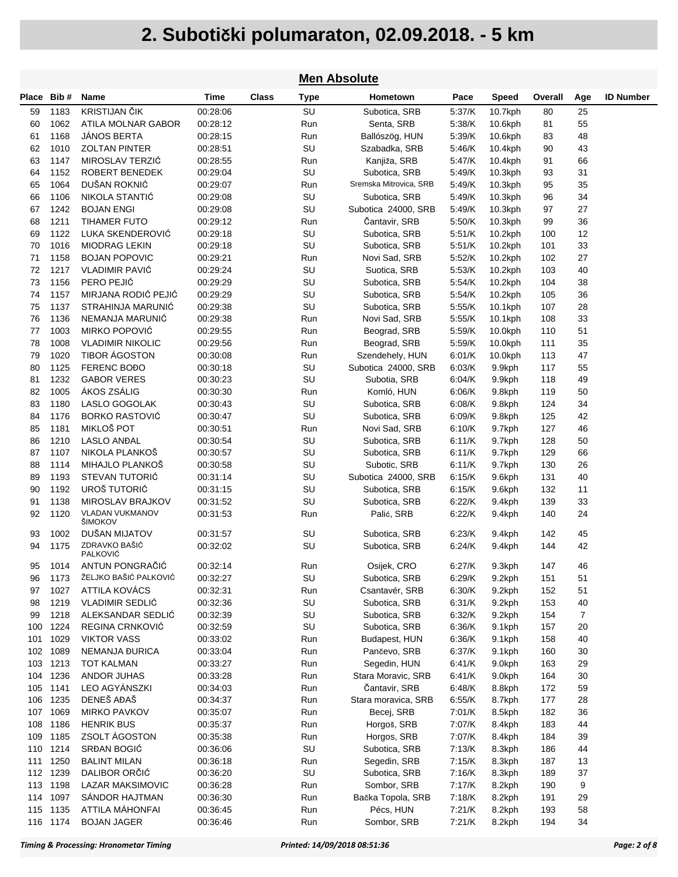|            |              |                                          |                      |              |             | <b>Men Absolute</b>                  |                  |                  |            |                |                  |
|------------|--------------|------------------------------------------|----------------------|--------------|-------------|--------------------------------------|------------------|------------------|------------|----------------|------------------|
|            | Place Bib#   | <b>Name</b>                              | Time                 | <b>Class</b> | <b>Type</b> | Hometown                             | Pace             | <b>Speed</b>     | Overall    | Age            | <b>ID Number</b> |
| 59         | 1183         | <b>KRISTIJAN ČIK</b>                     | 00:28:06             |              | SU          | Subotica, SRB                        | 5:37/K           | 10.7kph          | 80         | 25             |                  |
| 60         | 1062         | ATILA MOLNAR GABOR                       | 00:28:12             |              | Run         | Senta, SRB                           | 5:38/K           | 10.6kph          | 81         | 55             |                  |
| 61         | 1168         | <b>JÁNOS BERTA</b>                       | 00:28:15             |              | Run         | Ballószög, HUN                       | 5:39/K           | 10.6kph          | 83         | 48             |                  |
| 62         | 1010         | <b>ZOLTAN PINTER</b>                     | 00:28:51             |              | SU          | Szabadka, SRB                        | 5.46/K           | 10.4kph          | 90         | 43             |                  |
| 63         | 1147         | MIROSLAV TERZIĆ                          | 00:28:55             |              | Run         | Kanjiža, SRB                         | 5:47/K           | 10.4kph          | 91         | 66             |                  |
| 64         | 1152         | ROBERT BENEDEK                           | 00:29:04             |              | SU          | Subotica, SRB                        | 5:49/K           | 10.3kph          | 93         | 31             |                  |
| 65         | 1064         | DUŠAN ROKNIĆ                             | 00:29:07             |              | Run         | Sremska Mitrovica, SRB               | 5:49/K           | 10.3kph          | 95         | 35             |                  |
| 66         | 1106         | NIKOLA STANTIĆ                           | 00:29:08             |              | SU          | Subotica, SRB                        | 5:49/K           | 10.3kph          | 96         | 34             |                  |
| 67         | 1242         | <b>BOJAN ENGI</b>                        | 00:29:08             |              | SU          | Subotica 24000, SRB                  | 5:49/K           | 10.3kph          | 97         | 27             |                  |
| 68         | 1211         | <b>TIHAMER FUTO</b>                      | 00:29:12             |              | Run         | Čantavir, SRB                        | 5:50/K           | $10.3$ kph       | 99         | 36             |                  |
| 69         | 1122         | LUKA SKENDEROVIC                         | 00:29:18             |              | SU          | Subotica, SRB                        | 5.51/K           | $10.2$ kph       | 100        | 12             |                  |
| 70         | 1016         | <b>MIODRAG LEKIN</b>                     | 00:29:18             |              | SU          | Subotica, SRB                        | 5.51/K           | $10.2$ kph       | 101        | 33             |                  |
| 71         | 1158         | <b>BOJAN POPOVIC</b>                     | 00:29:21             |              | Run         | Novi Sad, SRB                        | 5.52/K           | $10.2$ kph       | 102        | 27             |                  |
| 72         | 1217         | <b>VLADIMIR PAVIĆ</b>                    | 00:29:24             |              | SU          | Suotica, SRB                         | 5:53/K           | $10.2$ kph       | 103        | 40             |                  |
| 73         | 1156         | PERO PEJIĆ                               | 00:29:29             |              | SU          | Subotica, SRB                        | 5:54/K           | $10.2$ kph       | 104        | 38             |                  |
| 74         | 1157         | MIRJANA RODIĆ PEJIĆ                      | 00:29:29             |              | SU          | Subotica, SRB                        | 5.54/K           | $10.2$ kph       | 105        | 36             |                  |
| 75         | 1137         | STRAHINJA MARUNIĆ                        | 00:29:38             |              | SU          | Subotica, SRB                        | 5:55/K           | $10.1$ kph       | 107        | 28             |                  |
| 76         | 1136         | NEMANJA MARUNIĆ                          | 00:29:38             |              | Run         | Novi Sad, SRB                        | 5:55/K           | 10.1kph          | 108        | 33             |                  |
| 77         | 1003         | MIRKO POPOVIĆ                            | 00:29:55             |              | Run         | Beograd, SRB                         | 5:59/K           | $10.0$ kph       | 110        | 51             |                  |
| 78         | 1008         | <b>VLADIMIR NIKOLIC</b>                  | 00:29:56             |              | Run         | Beograd, SRB                         | 5:59/K           | $10.0$ kph       | 111        | 35             |                  |
| 79         | 1020         | TIBOR ÁGOSTON                            | 00:30:08             |              | Run         | Szendehely, HUN                      | 6.01/K           | $10.0$ kph       | 113        | 47             |                  |
| 80         | 1125         | FERENC BOĐO                              | 00:30:18             |              | SU          | Subotica 24000, SRB                  | 6:03/K           | 9.9kph           | 117        | 55             |                  |
| 81         | 1232         | <b>GABOR VERES</b>                       | 00:30:23             |              | SU          | Subotia, SRB                         | 6.04/K           | 9.9kph           | 118        | 49             |                  |
| 82         | 1005         | ÁKOS ZSÁLIG                              | 00:30:30             |              | Run         | Komló, HUN                           | 6.06/K           | 9.8kph           | 119        | 50             |                  |
| 83         | 1180         | LASLO GOGOLAK                            | 00:30:43             |              | SU          | Subotica, SRB                        | 6.08/K           | 9.8kph           | 124        | 34             |                  |
| 84         | 1176         | <b>BORKO RASTOVIĆ</b>                    | 00:30:47             |              | SU          | Subotica, SRB                        | 6.09/K           | 9.8kph           | 125        | 42             |                  |
| 85         | 1181         | MIKLOŠ POT                               | 00:30:51             |              | Run         | Novi Sad, SRB                        | 6.10/K           | 9.7kph           | 127        | 46             |                  |
| 86         | 1210         | LASLO ANĐAL                              | 00:30:54             |              | SU          | Subotica, SRB                        | 6:11/K           | 9.7kph           | 128        | 50             |                  |
| 87         | 1107         | NIKOLA PLANKOŠ                           | 00:30:57             |              | SU          | Subotica, SRB                        | 6:11/K           | 9.7kph           | 129        | 66             |                  |
| 88         | 1114         | MIHAJLO PLANKOŠ                          | 00:30:58             |              | SU          | Subotic, SRB                         | 6.11/K           | 9.7kph           | 130        | 26             |                  |
| 89         | 1193         | STEVAN TUTORIĆ                           | 00:31:14             |              | SU          | Subotica 24000, SRB                  | 6:15/K           | 9.6kph           | 131        | 40             |                  |
| 90         | 1192         | UROŠ TUTORIĆ                             | 00:31:15             |              | SU          | Subotica, SRB                        | 6.15/K           | 9.6kph           | 132        | 11             |                  |
| 91         | 1138         | MIROSLAV BRAJKOV                         | 00:31:52             |              | SU          | Subotica, SRB                        | 6.22/K           | 9.4kph           | 139        | 33             |                  |
| 92         | 1120         | <b>VLADAN VUKMANOV</b><br>ŠIMOKOV        | 00:31:53             |              | Run         | Palić, SRB                           | 6:22/K           | 9.4kph           | 140        | 24             |                  |
| 93         | 1002         | DUŠAN MIJATOV                            | 00:31:57             |              | SU          | Subotica, SRB                        | 6:23/K           | 9.4kph           | 142        | 45             |                  |
| 94         | 1175         | ZDRAVKO BAŠIĆ                            | 00:32:02             |              | SU          | Subotica, SRB                        | 6.24/K           | 9.4kph           | 144        | 42             |                  |
|            |              | <b>PALKOVIĆ</b>                          |                      |              |             |                                      |                  |                  |            |                |                  |
| 95         | 1014         | ANTUN PONGRAČIĆ                          | 00:32:14             |              | Run         | Osijek, CRO                          | 6.27/K           | 9.3kph           | 147        | 46             |                  |
| 96         | 1173         | ŽELJKO BAŠIĆ PALKOVIĆ                    | 00:32:27             |              | SU          | Subotica, SRB                        | 6.29/K           | 9.2kph           | 151        | 51             |                  |
| 97         | 1027         | ATTILA KOVÁCS                            | 00:32:31             |              | Run         | Csantavér, SRB                       | 6.30/K           | 9.2kph           | 152        | 51             |                  |
| 98         | 1219         | <b>VLADIMIR SEDLIĆ</b>                   | 00:32:36             |              | SU          | Subotica, SRB                        | 6:31/K           | 9.2kph           | 153        | 40             |                  |
| 99         | 1218         | ALEKSANDAR SEDLIĆ                        | 00:32:39             |              | SU          | Subotica, SRB                        | 6:32/K           | 9.2kph           | 154        | $\overline{7}$ |                  |
| 100        | 1224         | REGINA CRNKOVIĆ                          | 00:32:59             |              | SU          | Subotica, SRB                        | 6:36/K           | 9.1kph           | 157        | 20             |                  |
| 101        | 1029         | <b>VIKTOR VASS</b>                       | 00:33:02             |              | Run         | Budapest, HUN                        | 6:36/K           | 9.1kph           | 158        | 40             |                  |
|            | 102 1089     | NEMANJA ĐURICA                           | 00:33:04             |              | Run         | Pančevo, SRB                         | 6:37/K           | 9.1kph           | 160        | 30             |                  |
| 103        | 1213         | <b>TOT KALMAN</b>                        | 00:33:27             |              | Run         | Segedin, HUN                         | 6.41/K           | 9.0kph           | 163        | 29             |                  |
| 104        | 1236         | ANDOR JUHAS                              | 00:33:28             |              | Run         | Stara Moravic, SRB                   | 6:41/K           | 9.0kph           | 164        | 30             |                  |
| 105        | 1141         | LEO AGYÁNSZKI                            | 00:34:03             |              | Run         | Čantavir, SRB<br>Stara moravica, SRB | 6:48/K           | 8.8kph           | 172        | 59             |                  |
| 106<br>107 | 1235<br>1069 | DENEŠ AĐAŠ                               | 00:34:37             |              | Run         |                                      | 6:55/K           | 8.7kph           | 177        | 28<br>36       |                  |
| 108        | 1186         | <b>MIRKO PAVKOV</b><br><b>HENRIK BUS</b> | 00:35:07             |              | Run         | Becej, SRB                           | 7:01/K           | 8.5kph           | 182        | 44             |                  |
|            |              |                                          | 00:35:37             |              | Run         | Horgoš, SRB                          | 7:07/K           | 8.4kph           | 183        |                |                  |
| 109        | 1185<br>1214 | ZSOLT ÁGOSTON<br>SRĐAN BOGIĆ             | 00:35:38             |              | Run<br>SU   | Horgos, SRB                          | 7:07/K           | 8.4kph           | 184        | 39<br>44       |                  |
| 110<br>111 | 1250         | <b>BALINT MILAN</b>                      | 00:36:06<br>00:36:18 |              | Run         | Subotica, SRB<br>Segedin, SRB        | 7:13/K<br>7:15/K | 8.3kph<br>8.3kph | 186<br>187 | 13             |                  |
|            | 112 1239     | DALIBOR ORČIĆ                            |                      |              | SU          | Subotica, SRB                        | 7:16/K           | 8.3kph           |            |                |                  |
| 113        | 1198         | <b>LAZAR MAKSIMOVIC</b>                  | 00:36:20<br>00:36:28 |              | Run         | Sombor, SRB                          | 7:17/K           | 8.2kph           | 189<br>190 | 37<br>9        |                  |
| 114        | 1097         | SANDOR HAJTMAN                           | 00:36:30             |              | Run         | Bačka Topola, SRB                    | 7:18/K           | 8.2kph           | 191        | 29             |                  |
| 115        | 1135         | ATTILA MÁHONFAI                          | 00:36:45             |              | Run         | Pécs, HUN                            | 7:21/K           | 8.2kph           | 193        | 58             |                  |
|            | 116 1174     | <b>BOJAN JAGER</b>                       | 00:36:46             |              | Run         | Sombor, SRB                          | 7:21/K           | 8.2kph           | 194        | 34             |                  |
|            |              |                                          |                      |              |             |                                      |                  |                  |            |                |                  |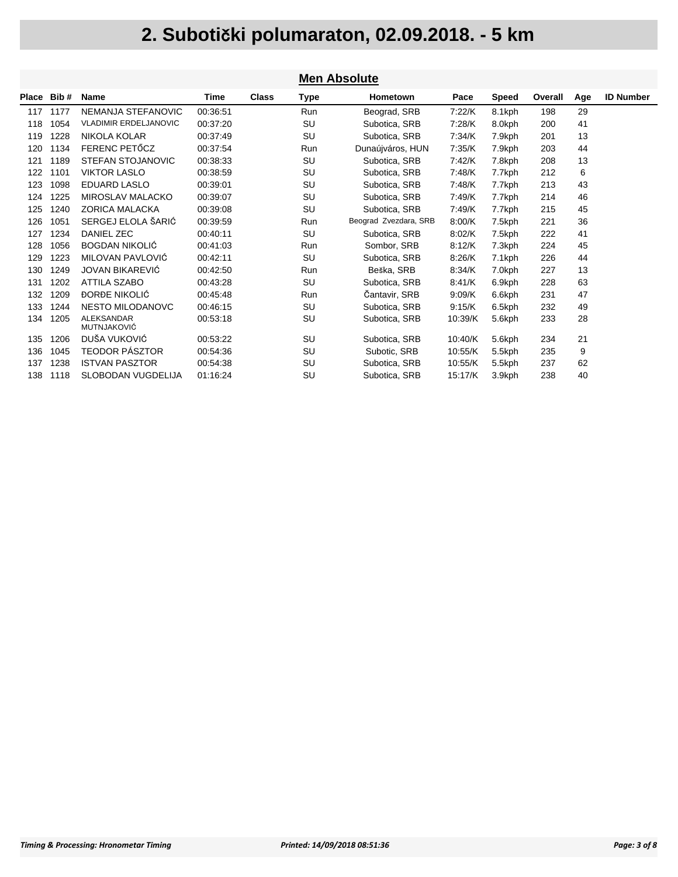| <b>Men Absolute</b> |            |                                         |          |              |      |                       |         |        |         |     |                  |
|---------------------|------------|-----------------------------------------|----------|--------------|------|-----------------------|---------|--------|---------|-----|------------------|
|                     | Place Bib# | <b>Name</b>                             | Time     | <b>Class</b> | Type | Hometown              | Pace    | Speed  | Overall | Age | <b>ID Number</b> |
| 117                 | 1177       | NEMANJA STEFANOVIC                      | 00:36:51 |              | Run  | Beograd, SRB          | 7:22/K  | 8.1kph | 198     | 29  |                  |
| 118                 | 1054       | <b>VLADIMIR ERDELJANOVIC</b>            | 00:37:20 |              | SU   | Subotica, SRB         | 7:28/K  | 8.0kph | 200     | 41  |                  |
| 119                 | 1228       | <b>NIKOLA KOLAR</b>                     | 00:37:49 |              | SU   | Subotica, SRB         | 7:34/K  | 7.9kph | 201     | 13  |                  |
| 120                 | 1134       | FERENC PETŐCZ                           | 00:37:54 |              | Run  | Dunaújváros, HUN      | 7:35/K  | 7.9kph | 203     | 44  |                  |
| 121                 | 1189       | <b>STEFAN STOJANOVIC</b>                | 00:38:33 |              | SU   | Subotica, SRB         | 7:42/K  | 7.8kph | 208     | 13  |                  |
| 122                 | 1101       | <b>VIKTOR LASLO</b>                     | 00:38:59 |              | SU   | Subotica, SRB         | 7:48/K  | 7.7kph | 212     | 6   |                  |
| 123                 | 1098       | EDUARD LASLO                            | 00:39:01 |              | SU   | Subotica, SRB         | 7:48/K  | 7.7kph | 213     | 43  |                  |
| 124                 | 1225       | <b>MIROSLAV MALACKO</b>                 | 00:39:07 |              | SU   | Subotica, SRB         | 7:49/K  | 7.7kph | 214     | 46  |                  |
| 125                 | 1240       | <b>ZORICA MALACKA</b>                   | 00:39:08 |              | SU   | Subotica, SRB         | 7:49/K  | 7.7kph | 215     | 45  |                  |
| 126                 | 1051       | SERGEJ ELOLA ŠARIĆ                      | 00:39:59 |              | Run  | Beograd Zvezdara, SRB | 8:00/K  | 7.5kph | 221     | 36  |                  |
| 127                 | 1234       | DANIEL ZEC                              | 00:40:11 |              | SU   | Subotica, SRB         | 8.02/K  | 7.5kph | 222     | 41  |                  |
| 128                 | 1056       | BOGDAN NIKOLIĆ                          | 00:41:03 |              | Run  | Sombor, SRB           | 8.12/K  | 7.3kph | 224     | 45  |                  |
| 129                 | 1223       | MILOVAN PAVLOVIĆ                        | 00:42:11 |              | SU   | Subotica, SRB         | 8:26/K  | 7.1kph | 226     | 44  |                  |
| 130                 | 1249       | <b>JOVAN BIKAREVIĆ</b>                  | 00:42:50 |              | Run  | Beška, SRB            | 8.34/K  | 7.0kph | 227     | 13  |                  |
| 131                 | 1202       | <b>ATTILA SZABO</b>                     | 00:43:28 |              | SU   | Subotica, SRB         | 8:41/K  | 6.9kph | 228     | 63  |                  |
| 132                 | 1209       | <b>DORDE NIKOLIĆ</b>                    | 00:45:48 |              | Run  | Čantavir, SRB         | 9.09/K  | 6.6kph | 231     | 47  |                  |
| 133                 | 1244       | <b>NESTO MILODANOVC</b>                 | 00:46:15 |              | SU   | Subotica, SRB         | 9:15/K  | 6.5kph | 232     | 49  |                  |
| 134                 | 1205       | <b>ALEKSANDAR</b><br><b>MUTNJAKOVIĆ</b> | 00:53:18 |              | SU   | Subotica, SRB         | 10:39/K | 5.6kph | 233     | 28  |                  |
| 135                 | 1206       | DUŠA VUKOVIĆ                            | 00:53:22 |              | SU   | Subotica, SRB         | 10:40/K | 5.6kph | 234     | 21  |                  |
| 136                 | 1045       | <b>TEODOR PASZTOR</b>                   | 00:54:36 |              | SU   | Subotic, SRB          | 10:55/K | 5.5kph | 235     | 9   |                  |
| 137                 | 1238       | <b>ISTVAN PASZTOR</b>                   | 00:54:38 |              | SU   | Subotica, SRB         | 10:55/K | 5.5kph | 237     | 62  |                  |
| 138                 | 1118       | <b>SLOBODAN VUGDELIJA</b>               | 01:16:24 |              | SU   | Subotica, SRB         | 15:17/K | 3.9kph | 238     | 40  |                  |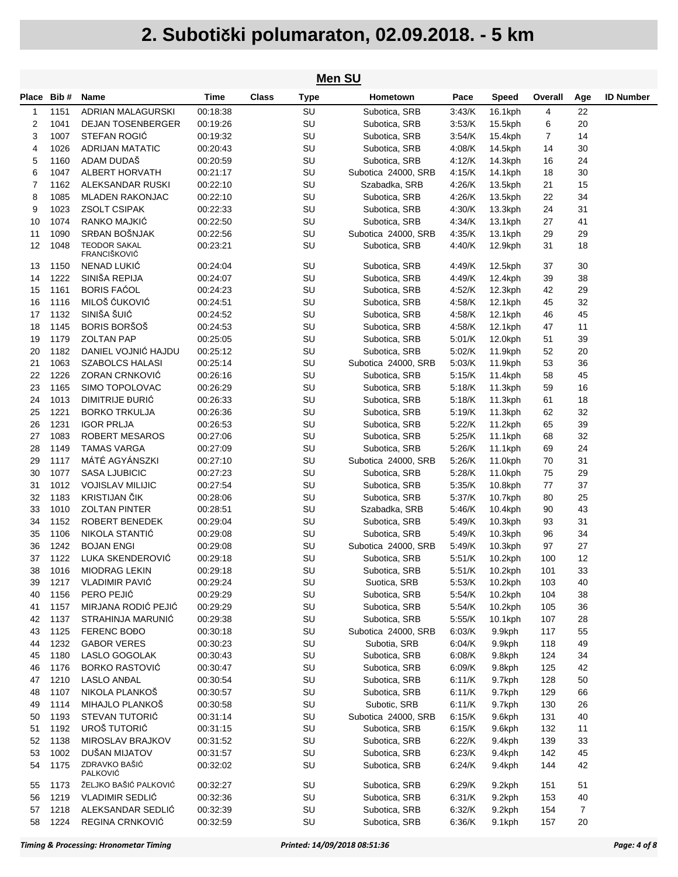| <b>Men SU</b> |              |                                     |                      |       |          |                                |                  |                    |          |                |                  |  |
|---------------|--------------|-------------------------------------|----------------------|-------|----------|--------------------------------|------------------|--------------------|----------|----------------|------------------|--|
|               | Place Bib#   | Name                                | Time                 | Class | Type     | Hometown                       | Pace             | <b>Speed</b>       | Overall  | Age            | <b>ID Number</b> |  |
| 1             | 1151         | ADRIAN MALAGURSKI                   | 00:18:38             |       | SU       | Subotica, SRB                  | 3.43/K           | 16.1kph            | 4        | 22             |                  |  |
| 2             | 1041         | DEJAN TOSENBERGER                   | 00:19:26             |       | SU       | Subotica, SRB                  | 3.53/K           | 15.5kph            | 6        | 20             |                  |  |
| 3             | 1007         | STEFAN ROGIĆ                        | 00:19:32             |       | SU       | Subotica, SRB                  | 3:54/K           | 15.4kph            | 7        | 14             |                  |  |
| 4             | 1026         | <b>ADRIJAN MATATIC</b>              | 00:20:43             |       | SU       | Subotica, SRB                  | 4:08/K           | 14.5kph            | 14       | 30             |                  |  |
| 5             | 1160         | ADAM DUDAŠ                          | 00:20:59             |       | SU       | Subotica, SRB                  | 4:12/K           | 14.3kph            | 16       | 24             |                  |  |
| 6             | 1047         | ALBERT HORVATH                      | 00:21:17             |       | SU       | Subotica 24000, SRB            | 4:15/K           | 14.1kph            | 18       | 30             |                  |  |
| 7             | 1162         | ALEKSANDAR RUSKI                    | 00:22:10             |       | SU       | Szabadka, SRB                  | 4:26/K           | 13.5kph            | 21       | 15             |                  |  |
| 8             | 1085         | <b>MLADEN RAKONJAC</b>              | 00:22:10             |       | SU       | Subotica, SRB                  | 4:26/K           | 13.5kph            | 22       | 34             |                  |  |
| 9             | 1023         | <b>ZSOLT CSIPAK</b>                 | 00:22:33             |       | SU       | Subotica, SRB                  | 4:30/K           | 13.3kph            | 24       | 31             |                  |  |
| 10            | 1074         | RANKO MAJKIĆ                        | 00:22:50             |       | SU       | Subotica, SRB                  | 4:34/K           | 13.1kph            | 27       | 41             |                  |  |
| 11            | 1090         | SRĐAN BOŠNJAK                       | 00:22:56             |       | SU       | Subotica 24000, SRB            | 4:35/K           | 13.1kph            | 29       | 29             |                  |  |
| 12            | 1048         | <b>TEODOR SAKAL</b><br>FRANCIŠKOVIĆ | 00:23:21             |       | SU       | Subotica, SRB                  | 4:40/K           | 12.9kph            | 31       | 18             |                  |  |
| 13            | 1150         | NENAD LUKIĆ                         | 00:24:04             |       | SU       | Subotica, SRB                  | 4:49/K           | 12.5kph            | 37       | 30             |                  |  |
| 14            | 1222         | SINIŠA REPIJA                       | 00:24:07             |       | SU       | Subotica, SRB                  | 4:49/K           | 12.4kph            | 39       | 38             |                  |  |
| 15            | 1161         | <b>BORIS FAĆOL</b>                  | 00:24:23             |       | SU       | Subotica, SRB                  | 4:52/K           | 12.3kph            | 42       | 29             |                  |  |
| 16            | 1116         | MILOŠ ĆUKOVIĆ                       | 00:24:51             |       | SU       | Subotica, SRB                  | 4:58/K           | 12.1kph            | 45       | 32             |                  |  |
| 17            | 1132         | SINIŠA ŠUIĆ                         | 00:24:52             |       | SU       | Subotica, SRB                  | 4:58/K           | 12.1kph            | 46       | 45             |                  |  |
| 18            | 1145         | <b>BORIS BORŠOŠ</b>                 | 00:24:53             |       | SU       | Subotica, SRB                  | 4:58/K           | 12.1kph            | 47       | 11             |                  |  |
| 19            | 1179         | <b>ZOLTAN PAP</b>                   | 00:25:05             |       | SU       | Subotica, SRB                  | 5.01/K           | 12.0kph            | 51       | 39             |                  |  |
| 20            | 1182         | DANIEL VOJNIĆ HAJDU                 | 00:25:12             |       | SU       | Subotica, SRB                  | 5:02/K           | 11.9kph            | 52       | 20             |                  |  |
| 21            | 1063         | <b>SZABOLCS HALASI</b>              | 00:25:14             |       | SU       | Subotica 24000, SRB            | 5.03/K           | 11.9kph            | 53       | 36             |                  |  |
| 22<br>23      | 1226<br>1165 | ZORAN CRNKOVIĆ<br>SIMO TOPOLOVAC    | 00:26:16             |       | SU<br>SU | Subotica, SRB                  | 5:15/K<br>5.18/K | 11.4kph<br>11.3kph | 58       | 45             |                  |  |
| 24            | 1013         | DIMITRIJE ĐURIĆ                     | 00:26:29             |       | SU       | Subotica, SRB                  |                  |                    | 59       | 16             |                  |  |
| 25            | 1221         | <b>BORKO TRKULJA</b>                | 00:26:33<br>00:26:36 |       | SU       | Subotica, SRB<br>Subotica, SRB | 5:18/K<br>5.19/K | 11.3kph<br>11.3kph | 61<br>62 | 18<br>32       |                  |  |
| 26            | 1231         | <b>IGOR PRLJA</b>                   | 00:26:53             |       | SU       | Subotica, SRB                  | 5.22/K           | 11.2kph            | 65       | 39             |                  |  |
| 27            | 1083         | <b>ROBERT MESAROS</b>               | 00:27:06             |       | SU       | Subotica, SRB                  | 5.25/K           | 11.1kph            | 68       | 32             |                  |  |
| 28            | 1149         | <b>TAMAS VARGA</b>                  | 00:27:09             |       | SU       | Subotica, SRB                  | 5:26/K           | 11.1kph            | 69       | 24             |                  |  |
| 29            | 1117         | MÁTÉ AGYÁNSZKI                      | 00:27:10             |       | SU       | Subotica 24000, SRB            | 5:26/K           | 11.0kph            | 70       | 31             |                  |  |
| 30            | 1077         | <b>SASA LJUBICIC</b>                | 00:27:23             |       | SU       | Subotica, SRB                  | 5:28/K           | 11.0kph            | 75       | 29             |                  |  |
| 31            | 1012         | <b>VOJISLAV MILIJIC</b>             | 00:27:54             |       | SU       | Subotica, SRB                  | 5:35/K           | 10.8kph            | 77       | 37             |                  |  |
| 32            | 1183         | KRISTIJAN ČIK                       | 00:28:06             |       | SU       | Subotica, SRB                  | 5:37/K           | 10.7kph            | 80       | 25             |                  |  |
| 33            | 1010         | <b>ZOLTAN PINTER</b>                | 00:28:51             |       | SU       | Szabadka, SRB                  | 5:46/K           | 10.4kph            | 90       | 43             |                  |  |
| 34            | 1152         | ROBERT BENEDEK                      | 00:29:04             |       | SU       | Subotica, SRB                  | 5.49/K           | 10.3kph            | 93       | 31             |                  |  |
| 35            | 1106         | NIKOLA STANTIĆ                      | 00:29:08             |       | SU       | Subotica, SRB                  | 5.49/K           | 10.3kph            | 96       | 34             |                  |  |
| 36            | 1242         | <b>BOJAN ENGI</b>                   | 00:29:08             |       | SU       | Subotica 24000, SRB            | 5:49/K           | 10.3kph            | 97       | 27             |                  |  |
| 37            | 1122         | LUKA SKENDEROVIĆ                    | 00:29:18             |       | SU       | Subotica, SRB                  | 5.51/K           | $10.2$ kph         | 100      | 12             |                  |  |
| 38            | 1016         | <b>MIODRAG LEKIN</b>                | 00:29:18             |       | SU       | Subotica, SRB                  | $5:51/K$         | 10.2kph            | 101      | 33             |                  |  |
| 39            | 1217         | <b>VLADIMIR PAVIĆ</b>               | 00:29:24             |       | SU       | Suotica, SRB                   | 5:53/K           | $10.2$ kph         | 103      | 40             |                  |  |
| 40            | 1156         | PERO PEJIĆ                          | 00:29:29             |       | SU       | Subotica, SRB                  | 5:54/K           | 10.2kph            | 104      | 38             |                  |  |
| 41            | 1157         | MIRJANA RODIĆ PEJIĆ                 | 00:29:29             |       | SU       | Subotica, SRB                  | 5:54/K           | 10.2kph            | 105      | 36             |                  |  |
| 42            | 1137         | STRAHINJA MARUNIĆ                   | 00:29:38             |       | SU       | Subotica, SRB                  | 5:55/K           | 10.1kph            | 107      | 28             |                  |  |
| 43            | 1125         | FERENC BOĐO                         | 00:30:18             |       | SU       | Subotica 24000, SRB            | 6:03/K           | 9.9kph             | 117      | 55             |                  |  |
| 44            | 1232         | <b>GABOR VERES</b>                  | 00:30:23             |       | SU       | Subotia, SRB                   | 6.04/K           | 9.9kph             | 118      | 49             |                  |  |
| 45            | 1180         | LASLO GOGOLAK                       | 00:30:43             |       | SU       | Subotica, SRB                  | 6.08/K           | 9.8kph             | 124      | 34             |                  |  |
| 46            | 1176         | <b>BORKO RASTOVIĆ</b>               | 00:30:47             |       | SU       | Subotica, SRB                  | 6:09/K           | 9.8kph             | 125      | 42             |                  |  |
| 47            | 1210         | <b>LASLO ANĐAL</b>                  | 00:30:54             |       | SU       | Subotica, SRB                  | 6.11/K           | 9.7kph             | 128      | 50             |                  |  |
| 48            | 1107         | NIKOLA PLANKOŠ                      | 00:30:57             |       | SU       | Subotica, SRB                  | 6.11/K           | 9.7kph             | 129      | 66             |                  |  |
| 49            | 1114         | MIHAJLO PLANKOŠ                     | 00:30:58             |       | SU       | Subotic, SRB                   | 6:11/K           | 9.7kph             | 130      | 26             |                  |  |
| 50            | 1193         | STEVAN TUTORIĆ                      | 00:31:14             |       | SU       | Subotica 24000, SRB            | 6:15/K           | 9.6kph             | 131      | 40             |                  |  |
| 51            | 1192         | UROŠ TUTORIĆ                        | 00:31:15             |       | SU       | Subotica, SRB                  | 6.15/K           | 9.6kph             | 132      | 11             |                  |  |
| 52            | 1138         | MIROSLAV BRAJKOV                    | 00:31:52             |       | SU       | Subotica, SRB                  | 6:22/K           | 9.4kph             | 139      | 33             |                  |  |
| 53            | 1002         | DUŠAN MIJATOV                       | 00:31:57             |       | SU       | Subotica, SRB                  | 6.23/K           | 9.4kph             | 142      | 45             |                  |  |
| 54            | 1175         | ZDRAVKO BAŠIĆ<br><b>PALKOVIĆ</b>    | 00:32:02             |       | SU       | Subotica, SRB                  | 6:24/K           | 9.4kph             | 144      | 42             |                  |  |
| 55            | 1173         | ŽELJKO BAŠIĆ PALKOVIĆ               | 00:32:27             |       | SU       | Subotica, SRB                  | 6.29/K           | 9.2kph             | 151      | 51             |                  |  |
| 56            | 1219         | <b>VLADIMIR SEDLIĆ</b>              | 00:32:36             |       | SU       | Subotica, SRB                  | 6:31/K           | 9.2kph             | 153      | 40             |                  |  |
| 57            | 1218         | ALEKSANDAR SEDLIĆ                   | 00:32:39             |       | SU       | Subotica, SRB                  | 6.32/K           | 9.2kph             | 154      | $\overline{7}$ |                  |  |
| 58            | 1224         | REGINA CRNKOVIĆ                     | 00:32:59             |       | SU       | Subotica, SRB                  | 6:36/K           | 9.1kph             | 157      | 20             |                  |  |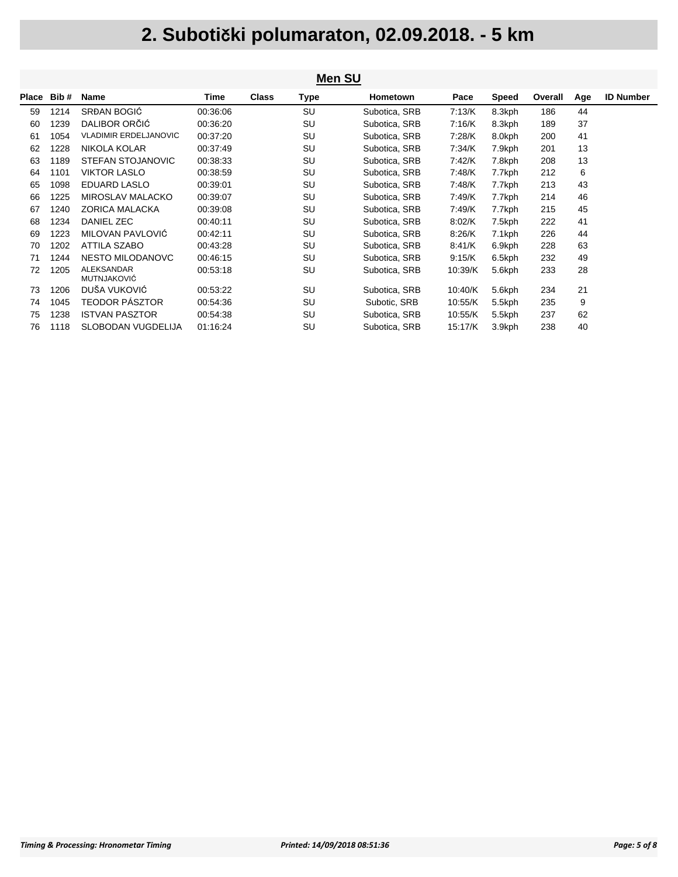|       | <b>Men SU</b> |                                  |          |              |      |               |         |              |         |     |                  |  |  |
|-------|---------------|----------------------------------|----------|--------------|------|---------------|---------|--------------|---------|-----|------------------|--|--|
| Place | Bib#          | <b>Name</b>                      | Time     | <b>Class</b> | Type | Hometown      | Pace    | <b>Speed</b> | Overall | Age | <b>ID Number</b> |  |  |
| 59    | 1214          | SRĐAN BOGIĆ                      | 00:36:06 |              | SU   | Subotica, SRB | 7:13/K  | 8.3kph       | 186     | 44  |                  |  |  |
| 60    | 1239          | DALIBOR ORČIĆ                    | 00:36:20 |              | SU   | Subotica, SRB | 7:16/K  | 8.3kph       | 189     | 37  |                  |  |  |
| 61    | 1054          | VLADIMIR ERDELJANOVIC            | 00:37:20 |              | SU   | Subotica, SRB | 7:28/K  | 8.0kph       | 200     | 41  |                  |  |  |
| 62    | 1228          | <b>NIKOLA KOLAR</b>              | 00:37:49 |              | SU   | Subotica, SRB | 7:34/K  | 7.9kph       | 201     | 13  |                  |  |  |
| 63    | 1189          | <b>STEFAN STOJANOVIC</b>         | 00:38:33 |              | SU   | Subotica, SRB | 7:42/K  | 7.8kph       | 208     | 13  |                  |  |  |
| 64    | 1101          | <b>VIKTOR LASLO</b>              | 00:38:59 |              | SU   | Subotica, SRB | 7:48/K  | 7.7kph       | 212     | 6   |                  |  |  |
| 65    | 1098          | <b>EDUARD LASLO</b>              | 00:39:01 |              | SU   | Subotica, SRB | 7:48/K  | 7.7kph       | 213     | 43  |                  |  |  |
| 66    | 1225          | <b>MIROSLAV MALACKO</b>          | 00:39:07 |              | SU   | Subotica, SRB | 7:49/K  | 7.7kph       | 214     | 46  |                  |  |  |
| 67    | 1240          | <b>ZORICA MALACKA</b>            | 00:39:08 |              | SU   | Subotica, SRB | 7:49/K  | 7.7kph       | 215     | 45  |                  |  |  |
| 68    | 1234          | DANIEL ZEC                       | 00:40:11 |              | SU   | Subotica, SRB | 8.02/K  | 7.5kph       | 222     | 41  |                  |  |  |
| 69    | 1223          | MILOVAN PAVLOVIĆ                 | 00:42:11 |              | SU   | Subotica, SRB | 8.26/K  | 7.1kph       | 226     | 44  |                  |  |  |
| 70    | 1202          | <b>ATTILA SZABO</b>              | 00:43:28 |              | SU   | Subotica, SRB | 8.41/K  | 6.9kph       | 228     | 63  |                  |  |  |
| 71    | 1244          | NESTO MILODANOVC                 | 00:46:15 |              | SU   | Subotica, SRB | 9.15/K  | 6.5kph       | 232     | 49  |                  |  |  |
| 72    | 1205          | ALEKSANDAR<br><b>MUTNJAKOVIĆ</b> | 00:53:18 |              | SU   | Subotica, SRB | 10:39/K | 5.6kph       | 233     | 28  |                  |  |  |
| 73    | 1206          | DUŠA VUKOVIĆ                     | 00:53:22 |              | SU   | Subotica, SRB | 10:40/K | 5.6kph       | 234     | 21  |                  |  |  |
| 74    | 1045          | <b>TEODOR PÁSZTOR</b>            | 00:54:36 |              | SU   | Subotic, SRB  | 10:55/K | 5.5kph       | 235     | 9   |                  |  |  |
| 75    | 1238          | <b>ISTVAN PASZTOR</b>            | 00:54:38 |              | SU   | Subotica, SRB | 10:55/K | 5.5kph       | 237     | 62  |                  |  |  |
| 76    | 1118          | <b>SLOBODAN VUGDELIJA</b>        | 01:16:24 |              | SU   | Subotica, SRB | 15:17/K | 3.9kph       | 238     | 40  |                  |  |  |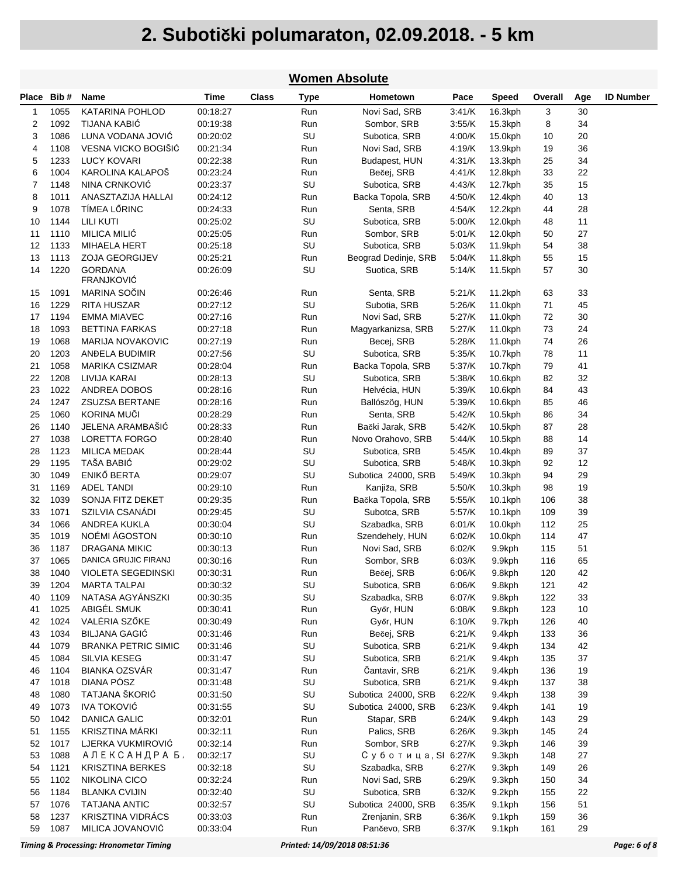| <b>Women Absolute</b> |
|-----------------------|
|-----------------------|

|                | Place Bib# | Name                                | <b>Time</b> | <b>Class</b> | Type | Hometown             | Pace   | Speed      | Overall | Age | <b>ID Number</b> |
|----------------|------------|-------------------------------------|-------------|--------------|------|----------------------|--------|------------|---------|-----|------------------|
| 1              | 1055       | KATARINA POHLOD                     | 00:18:27    |              | Run  | Novi Sad, SRB        | 3:41/K | 16.3kph    | 3       | 30  |                  |
| 2              | 1092       | TIJANA KABIĆ                        | 00:19:38    |              | Run  | Sombor, SRB          | 3:55/K | 15.3kph    | 8       | 34  |                  |
| 3              | 1086       | LUNA VODANA JOVIĆ                   | 00:20:02    |              | SU   | Subotica, SRB        | 4:00/K | 15.0kph    | 10      | 20  |                  |
| 4              | 1108       | VESNA VICKO BOGIŠIĆ                 | 00:21:34    |              | Run  | Novi Sad, SRB        | 4:19/K | 13.9kph    | 19      | 36  |                  |
| 5              | 1233       | <b>LUCY KOVARI</b>                  | 00:22:38    |              | Run  | Budapest, HUN        | 4:31/K | 13.3kph    | 25      | 34  |                  |
| 6              | 1004       | KAROLINA KALAPOŠ                    | 00:23:24    |              | Run  | Bečej, SRB           | 4:41/K | 12.8kph    | 33      | 22  |                  |
| $\overline{7}$ | 1148       | NINA CRNKOVIĆ                       | 00:23:37    |              | SU   | Subotica, SRB        | 4:43/K | 12.7kph    | 35      | 15  |                  |
| 8              | 1011       | ANASZTAZIJA HALLAI                  | 00:24:12    |              | Run  | Backa Topola, SRB    | 4:50/K | 12.4kph    | 40      | 13  |                  |
| 9              | 1078       | TÍMEA LŐRINC                        | 00:24:33    |              | Run  | Senta, SRB           | 4:54/K | 12.2kph    | 44      | 28  |                  |
| 10             | 1144       | LILI KUTI                           | 00:25:02    |              | SU   | Subotica, SRB        | 5:00/K | 12.0kph    | 48      | 11  |                  |
| 11             | 1110       | MILICA MILIĆ                        | 00:25:05    |              | Run  | Sombor, SRB          | 5:01/K | 12.0kph    | 50      | 27  |                  |
| 12             | 1133       | <b>MIHAELA HERT</b>                 | 00:25:18    |              | SU   | Subotica, SRB        | 5:03/K | 11.9kph    | 54      | 38  |                  |
| 13             | 1113       | ZOJA GEORGIJEV                      | 00:25:21    |              | Run  | Beograd Dedinje, SRB | 5:04/K | 11.8kph    | 55      | 15  |                  |
| 14             | 1220       | <b>GORDANA</b><br><b>FRANJKOVIC</b> | 00:26:09    |              | SU   | Suotica, SRB         | 5:14/K | 11.5kph    | 57      | 30  |                  |
| 15             | 1091       | MARINA SOČIN                        | 00:26:46    |              | Run  | Senta, SRB           | 5:21/K | 11.2kph    | 63      | 33  |                  |
| 16             | 1229       | RITA HUSZAR                         | 00:27:12    |              | SU   | Subotia, SRB         | 5:26/K | 11.0kph    | 71      | 45  |                  |
| 17             | 1194       | EMMA MIAVEC                         | 00:27:16    |              | Run  | Novi Sad, SRB        | 5:27/K | 11.0kph    | 72      | 30  |                  |
| 18             | 1093       | <b>BETTINA FARKAS</b>               | 00:27:18    |              | Run  | Magyarkanizsa, SRB   | 5:27/K | 11.0kph    | 73      | 24  |                  |
| 19             | 1068       | <b>MARIJA NOVAKOVIC</b>             | 00:27:19    |              | Run  | Becej, SRB           | 5:28/K | 11.0kph    | 74      | 26  |                  |
| 20             | 1203       | ANDELA BUDIMIR                      | 00:27:56    |              | SU   | Subotica, SRB        | 5:35/K | 10.7kph    | 78      | 11  |                  |
| 21             | 1058       | <b>MARIKA CSIZMAR</b>               | 00:28:04    |              | Run  | Backa Topola, SRB    | 5:37/K | $10.7$ kph | 79      | 41  |                  |
| 22             | 1208       | LIVIJA KARAI                        | 00:28:13    |              | SU   | Subotica, SRB        | 5:38/K | 10.6kph    | 82      | 32  |                  |
| 23             | 1022       | ANDREA DOBOS                        | 00:28:16    |              | Run  | Helvécia, HUN        | 5:39/K | 10.6kph    | 84      | 43  |                  |
| 24             | 1247       | <b>ZSUZSA BERTANE</b>               | 00:28:16    |              | Run  | Ballószög, HUN       | 5:39/K | 10.6kph    | 85      | 46  |                  |
| 25             | 1060       | KORINA MUČI                         | 00:28:29    |              | Run  | Senta, SRB           | 5:42/K | $10.5$ kph | 86      | 34  |                  |
| 26             | 1140       | JELENA ARAMBAŠIĆ                    | 00:28:33    |              | Run  | Bački Jarak, SRB     | 5:42/K | $10.5$ kph | 87      | 28  |                  |
| 27             | 1038       | <b>LORETTA FORGO</b>                | 00:28:40    |              | Run  | Novo Orahovo, SRB    | 5:44/K | $10.5$ kph | 88      | 14  |                  |
| 28             | 1123       | <b>MILICA MEDAK</b>                 | 00:28:44    |              | SU   | Subotica, SRB        | 5:45/K | 10.4kph    | 89      | 37  |                  |
| 29             | 1195       | TAŠA BABIĆ                          | 00:29:02    |              | SU   | Subotica, SRB        | 5:48/K | 10.3kph    | 92      | 12  |                  |
| 30             | 1049       | ENIKŐ BERTA                         | 00:29:07    |              | SU   | Subotica 24000, SRB  | 5:49/K | 10.3kph    | 94      | 29  |                  |
| 31             | 1169       | <b>ADEL TANDI</b>                   | 00:29:10    |              | Run  | Kanjiža, SRB         | 5:50/K | 10.3kph    | 98      | 19  |                  |
| 32             | 1039       | SONJA FITZ DEKET                    | 00:29:35    |              | Run  | Bačka Topola, SRB    | 5:55/K | 10.1kph    | 106     | 38  |                  |
| 33             | 1071       | SZILVIA CSANÁDI                     | 00:29:45    |              | SU   | Subotca, SRB         | 5:57/K | 10.1kph    | 109     | 39  |                  |
| 34             | 1066       | ANDREA KUKLA                        | 00:30:04    |              | SU   | Szabadka, SRB        | 6:01/K | $10.0$ kph | 112     | 25  |                  |
| 35             | 1019       | NOEMI AGOSTON                       | 00:30:10    |              | Run  | Szendehely, HUN      | 6:02/K | $10.0$ kph | 114     | 47  |                  |
| 36             | 1187       | <b>DRAGANA MIKIC</b>                | 00:30:13    |              | Run  | Novi Sad, SRB        | 6:02/K | 9.9kph     | 115     | 51  |                  |
| 37             | 1065       | DANICA GRUJIC FIRANJ                | 00:30:16    |              | Run  | Sombor, SRB          | 6:03/K | 9.9kph     | 116     | 65  |                  |
| 38             | 1040       | <b>VIOLETA SEGEDINSKI</b>           | 00:30:31    |              | Run  | Bečej, SRB           | 6:06/K | 9.8kph     | 120     | 42  |                  |
| 39             | 1204       | <b>MARTA TALPAI</b>                 | 00:30:32    |              | SU   | Subotica, SRB        | 6:06/K | 9.8kph     | 121     | 42  |                  |
| 40             | 1109       | NATASA AGYÁNSZKI                    | 00:30:35    |              | SU   | Szabadka, SRB        | 6:07/K | 9.8kph     | 122     | 33  |                  |
| 41             | 1025       | ABIGÉL SMUK                         | 00:30:41    |              | Run  | Győr, HUN            | 6:08/K | 9.8kph     | 123     | 10  |                  |
| 42             | 1024       | VALÉRIA SZŐKE                       | 00:30:49    |              | Run  | Győr, HUN            | 6:10/K | 9.7kph     | 126     | 40  |                  |
| 43             | 1034       | <b>BILJANA GAGIĆ</b>                | 00:31:46    |              | Run  | Bečej, SRB           | 6:21/K | 9.4kph     | 133     | 36  |                  |
| 44             | 1079       | <b>BRANKA PETRIC SIMIC</b>          | 00:31:46    |              | SU   | Subotica, SRB        | 6:21/K | 9.4kph     | 134     | 42  |                  |
| 45             | 1084       | <b>SILVIA KESEG</b>                 | 00:31:47    |              | SU   | Subotica, SRB        | 6:21/K | 9.4kph     | 135     | 37  |                  |
| 46             | 1104       | BIANKA OZSVÁR                       | 00:31:47    |              | Run  | Čantavir, SRB        | 6:21/K | 9.4kph     | 136     | 19  |                  |
| 47             | 1018       | DIANA PÓSZ                          | 00:31:48    |              | SU   | Subotica, SRB        | 6:21/K | 9.4kph     | 137     | 38  |                  |
| 48             | 1080       | TATJANA ŠKORIĆ                      | 00:31:50    |              | SU   | Subotica 24000, SRB  | 6:22/K | 9.4kph     | 138     | 39  |                  |
| 49             | 1073       | <b>IVA TOKOVIĆ</b>                  | 00:31:55    |              | SU   | Subotica 24000, SRB  | 6:23/K | 9.4kph     | 141     | 19  |                  |
| 50             | 1042       | <b>DANICA GALIC</b>                 | 00:32:01    |              | Run  | Stapar, SRB          | 6:24/K | 9.4kph     | 143     | 29  |                  |
| 51             | 1155       | KRISZTINA MÁRKI                     | 00:32:11    |              | Run  | Palics, SRB          | 6:26/K | 9.3kph     | 145     | 24  |                  |
| 52             | 1017       | LJERKA VUKMIROVIĆ                   | 00:32:14    |              | Run  | Sombor, SRB          | 6:27/K | 9.3kph     | 146     | 39  |                  |
| 53             | 1088       | АЛЕКСАНДРА Б.                       | 00:32:17    |              | SU   | Суботица, SI 6:27/K  |        | 9.3kph     | 148     | 27  |                  |
| 54             | 1121       | <b>KRISZTINA BERKES</b>             | 00:32:18    |              | SU   | Szabadka, SRB        | 6:27/K | 9.3kph     | 149     | 26  |                  |
| 55             | 1102       | NIKOLINA CICO                       | 00:32:24    |              | Run  | Novi Sad, SRB        | 6:29/K | 9.3kph     | 150     | 34  |                  |
| 56             | 1184       | <b>BLANKA CVIJIN</b>                | 00:32:40    |              | SU   | Subotica, SRB        | 6:32/K | 9.2kph     | 155     | 22  |                  |
| 57             | 1076       | <b>TATJANA ANTIC</b>                | 00:32:57    |              | SU   | Subotica 24000, SRB  | 6:35/K | 9.1kph     | 156     | 51  |                  |
| 58             | 1237       | KRISZTINA VIDRÁCS                   | 00:33:03    |              | Run  | Zrenjanin, SRB       | 6:36/K | 9.1kph     | 159     | 36  |                  |
| 59             | 1087       | MILICA JOVANOVIĆ                    | 00:33:04    |              | Run  | Pančevo, SRB         | 6:37/K | 9.1kph     | 161     | 29  |                  |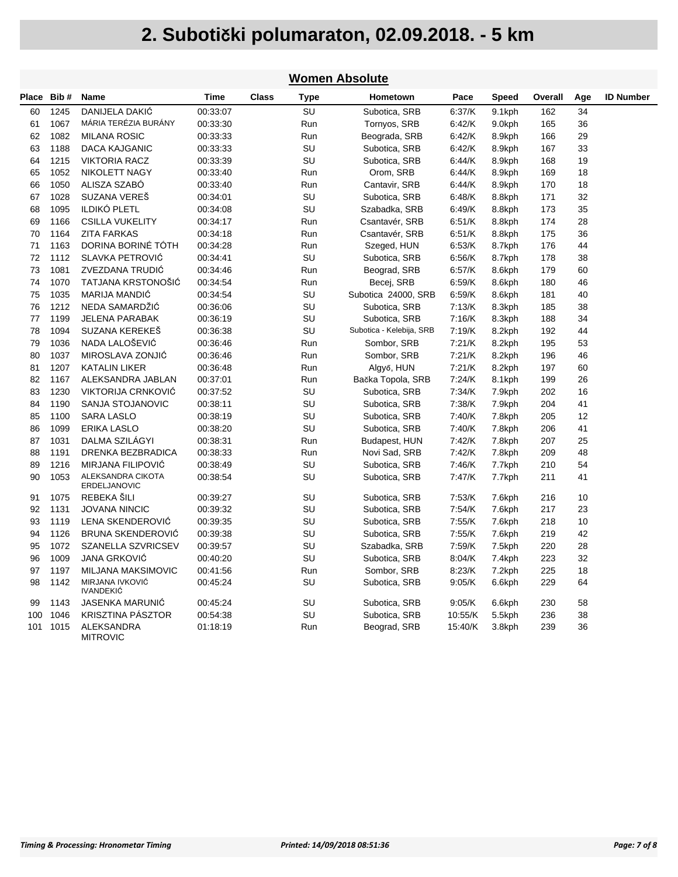|       |      | <b>Women Absolute</b>               |          |              |      |                          |           |              |         |     |                  |  |  |  |  |
|-------|------|-------------------------------------|----------|--------------|------|--------------------------|-----------|--------------|---------|-----|------------------|--|--|--|--|
| Place | Bib# | <b>Name</b>                         | Time     | <b>Class</b> | Type | Hometown                 | Pace      | <b>Speed</b> | Overall | Age | <b>ID Number</b> |  |  |  |  |
| 60    | 1245 | DANIJELA DAKIĆ                      | 00:33:07 |              | SU   | Subotica, SRB            | 6:37/K    | 9.1kph       | 162     | 34  |                  |  |  |  |  |
| 61    | 1067 | MÁRIA TERÉZIA BURÁNY                | 00:33:30 |              | Run  | Tornyos, SRB             | 6.42/K    | 9.0kph       | 165     | 36  |                  |  |  |  |  |
| 62    | 1082 | <b>MILANA ROSIC</b>                 | 00:33:33 |              | Run  | Beograda, SRB            | 6:42/K    | 8.9kph       | 166     | 29  |                  |  |  |  |  |
| 63    | 1188 | DACA KAJGANIC                       | 00:33:33 |              | SU   | Subotica, SRB            | 6.42/K    | 8.9kph       | 167     | 33  |                  |  |  |  |  |
| 64    | 1215 | <b>VIKTORIA RACZ</b>                | 00:33:39 |              | SU   | Subotica, SRB            | $6.44$ /K | 8.9kph       | 168     | 19  |                  |  |  |  |  |
| 65    | 1052 | NIKOLETT NAGY                       | 00:33:40 |              | Run  | Orom, SRB                | 6:44/K    | 8.9kph       | 169     | 18  |                  |  |  |  |  |
| 66    | 1050 | ALISZA SZABO                        | 00:33:40 |              | Run  | Cantavir, SRB            | 6:44/K    | 8.9kph       | 170     | 18  |                  |  |  |  |  |
| 67    | 1028 | SUZANA VEREŠ                        | 00:34:01 |              | SU   | Subotica, SRB            | 6.48/K    | 8.8kph       | 171     | 32  |                  |  |  |  |  |
| 68    | 1095 | <b>ILDIKÓ PLETL</b>                 | 00:34:08 |              | SU   | Szabadka, SRB            | 6.49/K    | 8.8kph       | 173     | 35  |                  |  |  |  |  |
| 69    | 1166 | <b>CSILLA VUKELITY</b>              | 00:34:17 |              | Run  | Csantavér, SRB           | 6:51/K    | 8.8kph       | 174     | 28  |                  |  |  |  |  |
| 70    | 1164 | <b>ZITA FARKAS</b>                  | 00:34:18 |              | Run  | Csantavér, SRB           | 6.51/K    | 8.8kph       | 175     | 36  |                  |  |  |  |  |
| 71    | 1163 | DORINA BORINÉ TÓTH                  | 00:34:28 |              | Run  | Szeged, HUN              | 6:53/K    | 8.7kph       | 176     | 44  |                  |  |  |  |  |
| 72    | 1112 | SLAVKA PETROVIĆ                     | 00:34:41 |              | SU   | Subotica, SRB            | 6:56/K    | 8.7kph       | 178     | 38  |                  |  |  |  |  |
| 73    | 1081 | ZVEZDANA TRUDIĆ                     | 00:34:46 |              | Run  | Beograd, SRB             | 6:57/K    | 8.6kph       | 179     | 60  |                  |  |  |  |  |
| 74    | 1070 | TATJANA KRSTONOŠIĆ                  | 00:34:54 |              | Run  | Becej, SRB               | 6.59/K    | 8.6kph       | 180     | 46  |                  |  |  |  |  |
| 75    | 1035 | MARIJA MANDIĆ                       | 00:34:54 |              | SU   | Subotica 24000, SRB      | 6:59/K    | 8.6kph       | 181     | 40  |                  |  |  |  |  |
| 76    | 1212 | NEDA SAMARDŽIĆ                      | 00:36:06 |              | SU   | Subotica, SRB            | 7:13/K    | 8.3kph       | 185     | 38  |                  |  |  |  |  |
| 77    | 1199 | JELENA PARABAK                      | 00:36:19 |              | SU   | Subotica, SRB            | 7:16/K    | 8.3kph       | 188     | 34  |                  |  |  |  |  |
| 78    | 1094 | SUZANA KEREKEŠ                      | 00:36:38 |              | SU   | Subotica - Kelebija, SRB | 7:19/K    | 8.2kph       | 192     | 44  |                  |  |  |  |  |
| 79    | 1036 | NADA LALOŠEVIĆ                      | 00:36:46 |              | Run  | Sombor, SRB              | 7:21/K    | 8.2kph       | 195     | 53  |                  |  |  |  |  |
| 80    | 1037 | MIROSLAVA ZONJIĆ                    | 00:36:46 |              | Run  | Sombor, SRB              | 7:21/K    | 8.2kph       | 196     | 46  |                  |  |  |  |  |
| 81    | 1207 | KATALIN LIKER                       | 00:36:48 |              | Run  | Algyő, HUN               | 7:21/K    | 8.2kph       | 197     | 60  |                  |  |  |  |  |
| 82    | 1167 | ALEKSANDRA JABLAN                   | 00:37:01 |              | Run  | Bačka Topola, SRB        | 7:24/K    | 8.1kph       | 199     | 26  |                  |  |  |  |  |
| 83    | 1230 | VIKTORIJA CRNKOVIĆ                  | 00:37:52 |              | SU   | Subotica, SRB            | 7:34/K    | 7.9kph       | 202     | 16  |                  |  |  |  |  |
| 84    | 1190 | SANJA STOJANOVIC                    | 00:38:11 |              | SU   | Subotica, SRB            | 7:38/K    | 7.9kph       | 204     | 41  |                  |  |  |  |  |
| 85    | 1100 | SARA LASLO                          | 00:38:19 |              | SU   | Subotica, SRB            | 7:40/K    | 7.8kph       | 205     | 12  |                  |  |  |  |  |
| 86    | 1099 | ERIKA LASLO                         | 00:38:20 |              | SU   | Subotica, SRB            | 7:40/K    | 7.8kph       | 206     | 41  |                  |  |  |  |  |
| 87    | 1031 | DALMA SZILÁGYI                      | 00:38:31 |              | Run  | Budapest, HUN            | 7:42/K    | 7.8kph       | 207     | 25  |                  |  |  |  |  |
| 88    | 1191 | DRENKA BEZBRADICA                   | 00:38:33 |              | Run  | Novi Sad, SRB            | 7:42/K    | 7.8kph       | 209     | 48  |                  |  |  |  |  |
| 89    | 1216 | MIRJANA FILIPOVIĆ                   | 00:38:49 |              | SU   | Subotica, SRB            | 7:46/K    | 7.7kph       | 210     | 54  |                  |  |  |  |  |
| 90    | 1053 | ALEKSANDRA CIKOTA<br>ERDELJANOVIC   | 00:38:54 |              | SU   | Subotica, SRB            | 7:47/K    | 7.7kph       | 211     | 41  |                  |  |  |  |  |
| 91    | 1075 | REBEKA ŠILI                         | 00:39:27 |              | SU   | Subotica, SRB            | 7:53/K    | 7.6kph       | 216     | 10  |                  |  |  |  |  |
| 92    | 1131 | <b>JOVANA NINCIC</b>                | 00:39:32 |              | SU   | Subotica, SRB            | 7:54/K    | 7.6kph       | 217     | 23  |                  |  |  |  |  |
| 93    | 1119 | LENA SKENDEROVIĆ                    | 00:39:35 |              | SU   | Subotica, SRB            | 7:55/K    | 7.6kph       | 218     | 10  |                  |  |  |  |  |
| 94    | 1126 | <b>BRUNA SKENDEROVIĆ</b>            | 00:39:38 |              | SU   | Subotica, SRB            | 7:55/K    | 7.6kph       | 219     | 42  |                  |  |  |  |  |
| 95    | 1072 | SZANELLA SZVRICSEV                  | 00:39:57 |              | SU   | Szabadka, SRB            | 7:59/K    | 7.5kph       | 220     | 28  |                  |  |  |  |  |
| 96    | 1009 | JANA GRKOVIĆ                        | 00:40:20 |              | SU   | Subotica, SRB            | 8.04/K    | 7.4kph       | 223     | 32  |                  |  |  |  |  |
| 97    | 1197 | MILJANA MAKSIMOVIC                  | 00:41:56 |              | Run  | Sombor, SRB              | 8:23/K    | 7.2kph       | 225     | 18  |                  |  |  |  |  |
| 98    | 1142 | MIRJANA IVKOVIĆ<br><b>IVANDEKIĆ</b> | 00:45:24 |              | SU   | Subotica, SRB            | 9:05/K    | 6.6kph       | 229     | 64  |                  |  |  |  |  |
| 99    | 1143 | <b>JASENKA MARUNIĆ</b>              | 00:45:24 |              | SU   | Subotica, SRB            | 9:05/K    | 6.6kph       | 230     | 58  |                  |  |  |  |  |
| 100   | 1046 | <b>KRISZTINA PASZTOR</b>            | 00:54:38 |              | SU   | Subotica, SRB            | 10:55/K   | 5.5kph       | 236     | 38  |                  |  |  |  |  |
| 101   | 1015 | ALEKSANDRA<br><b>MITROVIC</b>       | 01:18:19 |              | Run  | Beograd, SRB             | 15:40/K   | 3.8kph       | 239     | 36  |                  |  |  |  |  |